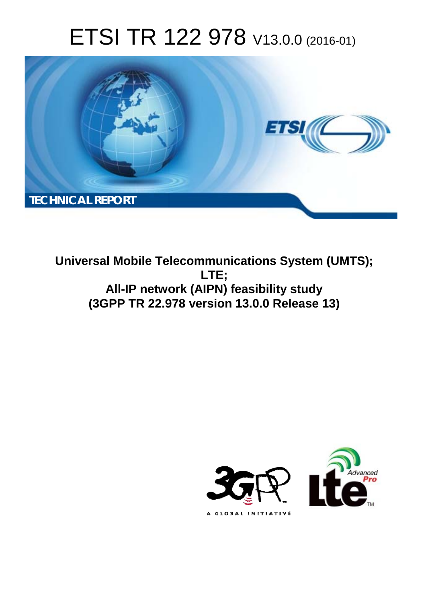# ETSI TR 122 978 V13.0.0 (2016-01)



**Universal Mobile Tel elecommunications System ( (UMTS); All-IP netwo work (AIPN) feasibility study (3GPP TR 22.9 .978 version 13.0.0 Release 13 13) LTE;** 

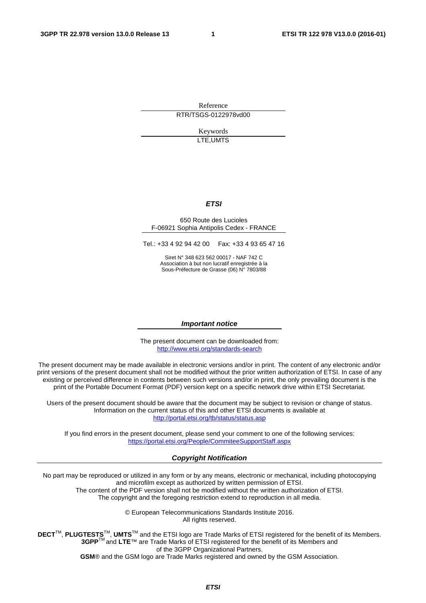Reference RTR/TSGS-0122978vd00

> Keywords LTE,UMTS

#### *ETSI*

#### 650 Route des Lucioles F-06921 Sophia Antipolis Cedex - FRANCE

Tel.: +33 4 92 94 42 00 Fax: +33 4 93 65 47 16

Siret N° 348 623 562 00017 - NAF 742 C Association à but non lucratif enregistrée à la Sous-Préfecture de Grasse (06) N° 7803/88

#### *Important notice*

The present document can be downloaded from: <http://www.etsi.org/standards-search>

The present document may be made available in electronic versions and/or in print. The content of any electronic and/or print versions of the present document shall not be modified without the prior written authorization of ETSI. In case of any existing or perceived difference in contents between such versions and/or in print, the only prevailing document is the print of the Portable Document Format (PDF) version kept on a specific network drive within ETSI Secretariat.

Users of the present document should be aware that the document may be subject to revision or change of status. Information on the current status of this and other ETSI documents is available at <http://portal.etsi.org/tb/status/status.asp>

If you find errors in the present document, please send your comment to one of the following services: <https://portal.etsi.org/People/CommiteeSupportStaff.aspx>

#### *Copyright Notification*

No part may be reproduced or utilized in any form or by any means, electronic or mechanical, including photocopying and microfilm except as authorized by written permission of ETSI.

The content of the PDF version shall not be modified without the written authorization of ETSI. The copyright and the foregoing restriction extend to reproduction in all media.

> © European Telecommunications Standards Institute 2016. All rights reserved.

**DECT**TM, **PLUGTESTS**TM, **UMTS**TM and the ETSI logo are Trade Marks of ETSI registered for the benefit of its Members. **3GPP**TM and **LTE**™ are Trade Marks of ETSI registered for the benefit of its Members and of the 3GPP Organizational Partners.

**GSM**® and the GSM logo are Trade Marks registered and owned by the GSM Association.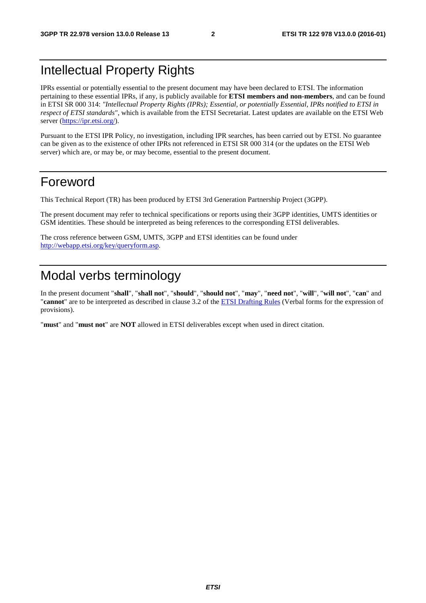## Intellectual Property Rights

IPRs essential or potentially essential to the present document may have been declared to ETSI. The information pertaining to these essential IPRs, if any, is publicly available for **ETSI members and non-members**, and can be found in ETSI SR 000 314: *"Intellectual Property Rights (IPRs); Essential, or potentially Essential, IPRs notified to ETSI in respect of ETSI standards"*, which is available from the ETSI Secretariat. Latest updates are available on the ETSI Web server [\(https://ipr.etsi.org/\)](https://ipr.etsi.org/).

Pursuant to the ETSI IPR Policy, no investigation, including IPR searches, has been carried out by ETSI. No guarantee can be given as to the existence of other IPRs not referenced in ETSI SR 000 314 (or the updates on the ETSI Web server) which are, or may be, or may become, essential to the present document.

## Foreword

This Technical Report (TR) has been produced by ETSI 3rd Generation Partnership Project (3GPP).

The present document may refer to technical specifications or reports using their 3GPP identities, UMTS identities or GSM identities. These should be interpreted as being references to the corresponding ETSI deliverables.

The cross reference between GSM, UMTS, 3GPP and ETSI identities can be found under [http://webapp.etsi.org/key/queryform.asp.](http://webapp.etsi.org/key/queryform.asp)

## Modal verbs terminology

In the present document "**shall**", "**shall not**", "**should**", "**should not**", "**may**", "**need not**", "**will**", "**will not**", "**can**" and "**cannot**" are to be interpreted as described in clause 3.2 of the [ETSI Drafting Rules](http://portal.etsi.org/Help/editHelp!/Howtostart/ETSIDraftingRules.aspx) (Verbal forms for the expression of provisions).

"**must**" and "**must not**" are **NOT** allowed in ETSI deliverables except when used in direct citation.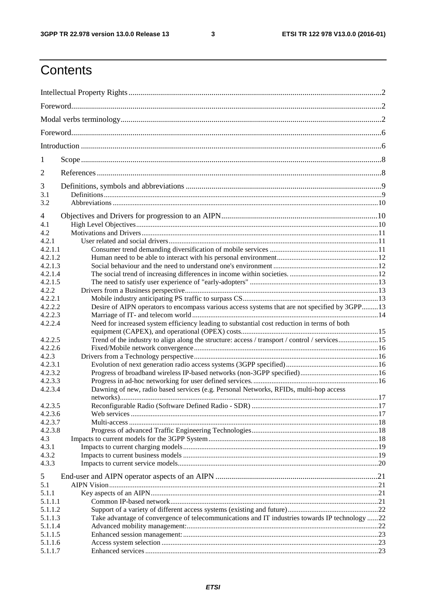$\mathbf{3}$ 

## Contents

| 1                  |                                                                                                |  |  |  |  |  |  |  |
|--------------------|------------------------------------------------------------------------------------------------|--|--|--|--|--|--|--|
| 2                  |                                                                                                |  |  |  |  |  |  |  |
| 3                  |                                                                                                |  |  |  |  |  |  |  |
| 3.1                |                                                                                                |  |  |  |  |  |  |  |
| 3.2                |                                                                                                |  |  |  |  |  |  |  |
| 4                  |                                                                                                |  |  |  |  |  |  |  |
| 4.1                |                                                                                                |  |  |  |  |  |  |  |
| 4.2                |                                                                                                |  |  |  |  |  |  |  |
| 4.2.1              |                                                                                                |  |  |  |  |  |  |  |
| 4.2.1.1            |                                                                                                |  |  |  |  |  |  |  |
| 4.2.1.2            |                                                                                                |  |  |  |  |  |  |  |
| 4.2.1.3            |                                                                                                |  |  |  |  |  |  |  |
| 4.2.1.4            |                                                                                                |  |  |  |  |  |  |  |
| 4.2.1.5            |                                                                                                |  |  |  |  |  |  |  |
| 4.2.2              |                                                                                                |  |  |  |  |  |  |  |
| 4.2.2.1            |                                                                                                |  |  |  |  |  |  |  |
| 4.2.2.2            | Desire of AIPN operators to encompass various access systems that are not specified by 3GPP13  |  |  |  |  |  |  |  |
| 4.2.2.3            |                                                                                                |  |  |  |  |  |  |  |
| 4.2.2.4            | Need for increased system efficiency leading to substantial cost reduction in terms of both    |  |  |  |  |  |  |  |
|                    |                                                                                                |  |  |  |  |  |  |  |
| 4.2.2.5            | Trend of the industry to align along the structure: access / transport / control / services15  |  |  |  |  |  |  |  |
| 4.2.2.6            |                                                                                                |  |  |  |  |  |  |  |
| 4.2.3              |                                                                                                |  |  |  |  |  |  |  |
| 4.2.3.1            |                                                                                                |  |  |  |  |  |  |  |
| 4.2.3.2            |                                                                                                |  |  |  |  |  |  |  |
| 4.2.3.3            |                                                                                                |  |  |  |  |  |  |  |
| 4.2.3.4            | Dawning of new, radio based services (e.g. Personal Networks, RFIDs, multi-hop access          |  |  |  |  |  |  |  |
|                    |                                                                                                |  |  |  |  |  |  |  |
| 4.2.3.5            |                                                                                                |  |  |  |  |  |  |  |
| 4.2.3.6            |                                                                                                |  |  |  |  |  |  |  |
| 4.2.3.7            |                                                                                                |  |  |  |  |  |  |  |
| 4.2.3.8            |                                                                                                |  |  |  |  |  |  |  |
| 4.3                |                                                                                                |  |  |  |  |  |  |  |
| 4.3.1              |                                                                                                |  |  |  |  |  |  |  |
| 4.3.2              |                                                                                                |  |  |  |  |  |  |  |
| 4.3.3              |                                                                                                |  |  |  |  |  |  |  |
| 5                  |                                                                                                |  |  |  |  |  |  |  |
| 5.1                |                                                                                                |  |  |  |  |  |  |  |
| 5.1.1              |                                                                                                |  |  |  |  |  |  |  |
|                    |                                                                                                |  |  |  |  |  |  |  |
| 5.1.1.1<br>5.1.1.2 |                                                                                                |  |  |  |  |  |  |  |
|                    |                                                                                                |  |  |  |  |  |  |  |
| 5.1.1.3            | Take advantage of convergence of telecommunications and IT industries towards IP technology 22 |  |  |  |  |  |  |  |
| 5.1.1.4<br>5.1.1.5 |                                                                                                |  |  |  |  |  |  |  |
|                    |                                                                                                |  |  |  |  |  |  |  |
| 5.1.1.6            |                                                                                                |  |  |  |  |  |  |  |
| 5.1.1.7            |                                                                                                |  |  |  |  |  |  |  |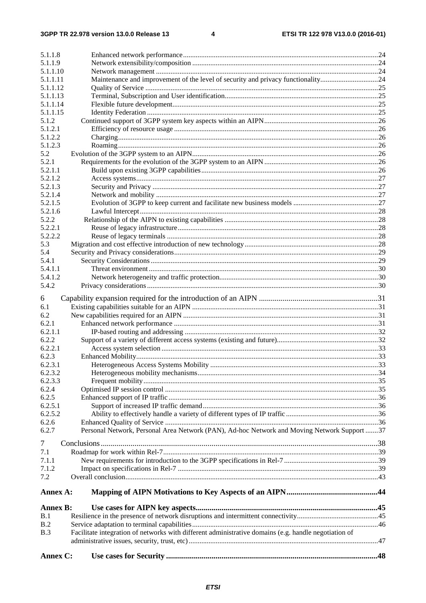| 5.1.1.8              |                                                                                                      |  |
|----------------------|------------------------------------------------------------------------------------------------------|--|
| 5.1.1.9              |                                                                                                      |  |
| 5.1.1.10             |                                                                                                      |  |
| 5.1.1.11             | Maintenance and improvement of the level of security and privacy functionality24                     |  |
| 5.1.1.12             |                                                                                                      |  |
| 5.1.1.13<br>5.1.1.14 |                                                                                                      |  |
| 5.1.1.15             |                                                                                                      |  |
| 5.1.2                |                                                                                                      |  |
| 5.1.2.1              |                                                                                                      |  |
| 5.1.2.2              |                                                                                                      |  |
| 5.1.2.3              |                                                                                                      |  |
| 5.2                  |                                                                                                      |  |
| 5.2.1                |                                                                                                      |  |
| 5.2.1.1              |                                                                                                      |  |
| 5.2.1.2              |                                                                                                      |  |
| 5.2.1.3              |                                                                                                      |  |
| 5.2.1.4              |                                                                                                      |  |
| 5.2.1.5              |                                                                                                      |  |
| 5.2.1.6              |                                                                                                      |  |
| 5.2.2                |                                                                                                      |  |
| 5.2.2.1              |                                                                                                      |  |
| 5.2.2.2              |                                                                                                      |  |
| 5.3                  |                                                                                                      |  |
| 5.4                  |                                                                                                      |  |
| 5.4.1                |                                                                                                      |  |
| 5.4.1.1              |                                                                                                      |  |
| 5.4.1.2              |                                                                                                      |  |
| 5.4.2                |                                                                                                      |  |
|                      |                                                                                                      |  |
| 6                    |                                                                                                      |  |
| 6.1                  |                                                                                                      |  |
| 6.2                  |                                                                                                      |  |
| 6.2.1                |                                                                                                      |  |
| 6.2.1.1              |                                                                                                      |  |
| 6.2.2                |                                                                                                      |  |
| 6.2.2.1              |                                                                                                      |  |
| 6.2.3                |                                                                                                      |  |
| 6.2.3.1              |                                                                                                      |  |
| 6.2.3.2              |                                                                                                      |  |
| 6.2.3.3              |                                                                                                      |  |
| 6.2.4                |                                                                                                      |  |
| 6.2.5                |                                                                                                      |  |
| 6.2.5.1              |                                                                                                      |  |
| 6.2.5.2              |                                                                                                      |  |
| 6.2.6<br>6.2.7       | Personal Network, Personal Area Network (PAN), Ad-hoc Network and Moving Network Support 37          |  |
|                      |                                                                                                      |  |
| $\tau$               |                                                                                                      |  |
| 7.1                  |                                                                                                      |  |
| 7.1.1                |                                                                                                      |  |
| 7.1.2                |                                                                                                      |  |
| 7.2                  |                                                                                                      |  |
|                      |                                                                                                      |  |
| Annex A:             |                                                                                                      |  |
| <b>Annex B:</b>      |                                                                                                      |  |
| B.1                  |                                                                                                      |  |
| B.2                  |                                                                                                      |  |
| B.3                  | Facilitate integration of networks with different administrative domains (e.g. handle negotiation of |  |
|                      |                                                                                                      |  |
|                      |                                                                                                      |  |
| Annex C:             |                                                                                                      |  |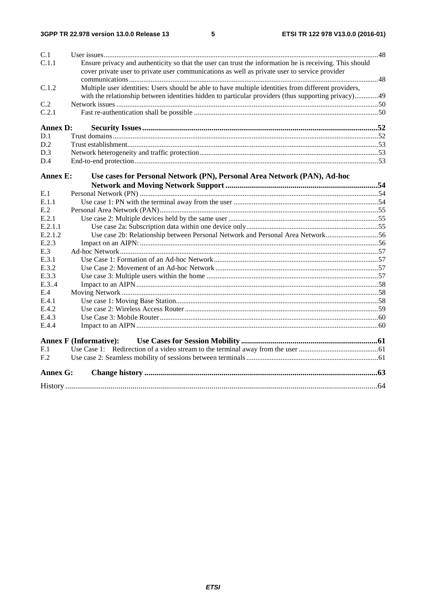$5\phantom{a}$ 

| C.1             |                                                                                                         |  |
|-----------------|---------------------------------------------------------------------------------------------------------|--|
| C.1.1           | Ensure privacy and authenticity so that the user can trust the information he is receiving. This should |  |
|                 | cover private user to private user communications as well as private user to service provider           |  |
|                 |                                                                                                         |  |
| C.1.2           | Multiple user identities: Users should be able to have multiple identities from different providers,    |  |
|                 | with the relationship between identities hidden to particular providers (thus supporting privacy)49     |  |
| C.2             |                                                                                                         |  |
| C.2.1           |                                                                                                         |  |
| <b>Annex D:</b> |                                                                                                         |  |
| D.1             |                                                                                                         |  |
| D.2             |                                                                                                         |  |
| D.3             |                                                                                                         |  |
| D.4             |                                                                                                         |  |
| <b>Annex E:</b> | Use cases for Personal Network (PN), Personal Area Network (PAN), Ad-hoc                                |  |
|                 |                                                                                                         |  |
| E.1             |                                                                                                         |  |
| E.1.1           |                                                                                                         |  |
| E.2             |                                                                                                         |  |
| E.2.1           |                                                                                                         |  |
| E.2.1.1         |                                                                                                         |  |
| E.2.1.2         | Use case 2b: Relationship between Personal Network and Personal Area Network56                          |  |
| E.2.3           |                                                                                                         |  |
| E.3             |                                                                                                         |  |
| E.3.1           |                                                                                                         |  |
| E.3.2           |                                                                                                         |  |
| E.3.3           |                                                                                                         |  |
| E.3.4           |                                                                                                         |  |
| E.4             |                                                                                                         |  |
| E.4.1           |                                                                                                         |  |
| E.4.2           |                                                                                                         |  |
| E.4.3           |                                                                                                         |  |
| E.4.4           |                                                                                                         |  |
|                 | <b>Annex F</b> (Informative):                                                                           |  |
| F.1             |                                                                                                         |  |
| F.2             |                                                                                                         |  |
| Annex G:        |                                                                                                         |  |
|                 |                                                                                                         |  |
|                 |                                                                                                         |  |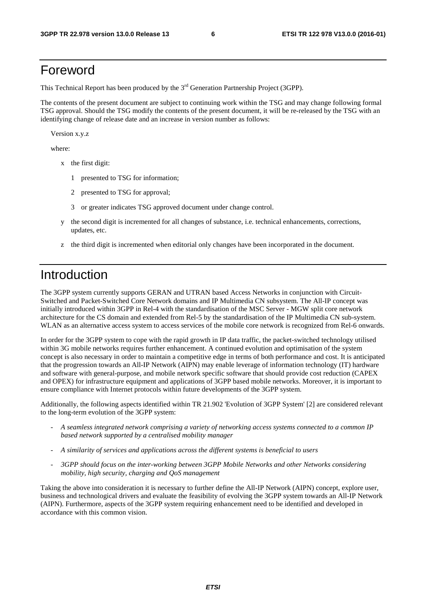## Foreword

This Technical Report has been produced by the  $3<sup>rd</sup>$  Generation Partnership Project (3GPP).

The contents of the present document are subject to continuing work within the TSG and may change following formal TSG approval. Should the TSG modify the contents of the present document, it will be re-released by the TSG with an identifying change of release date and an increase in version number as follows:

Version x.y.z

where:

- x the first digit:
	- 1 presented to TSG for information;
	- 2 presented to TSG for approval;
	- 3 or greater indicates TSG approved document under change control.
- y the second digit is incremented for all changes of substance, i.e. technical enhancements, corrections, updates, etc.
- z the third digit is incremented when editorial only changes have been incorporated in the document.

## Introduction

The 3GPP system currently supports GERAN and UTRAN based Access Networks in conjunction with Circuit-Switched and Packet-Switched Core Network domains and IP Multimedia CN subsystem. The All-IP concept was initially introduced within 3GPP in Rel-4 with the standardisation of the MSC Server - MGW split core network architecture for the CS domain and extended from Rel-5 by the standardisation of the IP Multimedia CN sub-system. WLAN as an alternative access system to access services of the mobile core network is recognized from Rel-6 onwards.

In order for the 3GPP system to cope with the rapid growth in IP data traffic, the packet-switched technology utilised within 3G mobile networks requires further enhancement. A continued evolution and optimisation of the system concept is also necessary in order to maintain a competitive edge in terms of both performance and cost. It is anticipated that the progression towards an All-IP Network (AIPN) may enable leverage of information technology (IT) hardware and software with general-purpose, and mobile network specific software that should provide cost reduction (CAPEX and OPEX) for infrastructure equipment and applications of 3GPP based mobile networks. Moreover, it is important to ensure compliance with Internet protocols within future developments of the 3GPP system.

Additionally, the following aspects identified within TR 21.902 'Evolution of 3GPP System' [2] are considered relevant to the long-term evolution of the 3GPP system:

- *A seamless integrated network comprising a variety of networking access systems connected to a common IP based network supported by a centralised mobility manager*
- *A similarity of services and applications across the different systems is beneficial to users*
- *3GPP should focus on the inter-working between 3GPP Mobile Networks and other Networks considering mobility, high security, charging and QoS management*

Taking the above into consideration it is necessary to further define the All-IP Network (AIPN) concept, explore user, business and technological drivers and evaluate the feasibility of evolving the 3GPP system towards an All-IP Network (AIPN). Furthermore, aspects of the 3GPP system requiring enhancement need to be identified and developed in accordance with this common vision.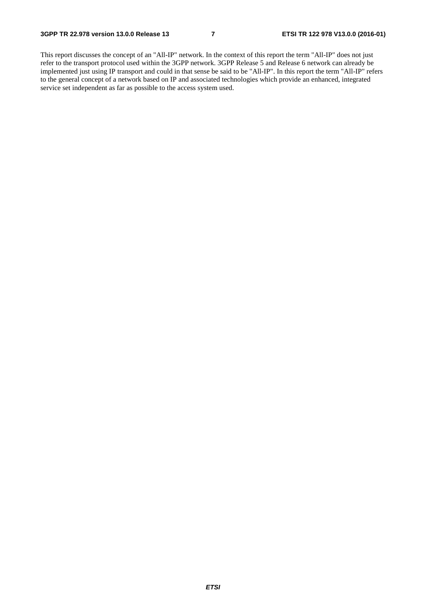This report discusses the concept of an "All-IP" network. In the context of this report the term "All-IP" does not just refer to the transport protocol used within the 3GPP network. 3GPP Release 5 and Release 6 network can already be implemented just using IP transport and could in that sense be said to be "All-IP". In this report the term "All-IP" refers to the general concept of a network based on IP and associated technologies which provide an enhanced, integrated service set independent as far as possible to the access system used.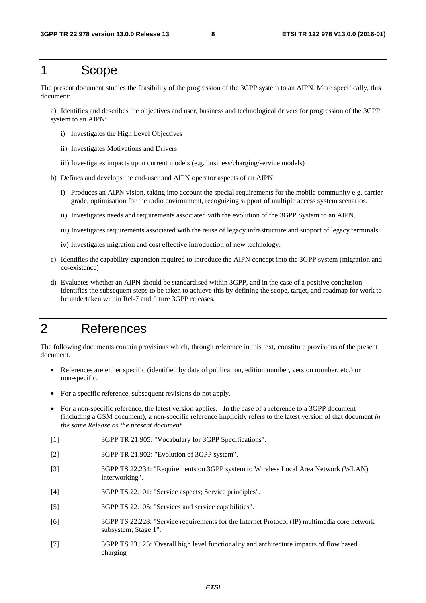## 1 Scope

The present document studies the feasibility of the progression of the 3GPP system to an AIPN. More specifically, this document:

a) Identifies and describes the objectives and user, business and technological drivers for progression of the 3GPP system to an AIPN:

- i) Investigates the High Level Objectives
- ii) Investigates Motivations and Drivers
- iii) Investigates impacts upon current models (e.g. business/charging/service models)
- b) Defines and develops the end-user and AIPN operator aspects of an AIPN:
	- i) Produces an AIPN vision, taking into account the special requirements for the mobile community e.g. carrier grade, optimisation for the radio environment, recognizing support of multiple access system scenarios.
	- ii) Investigates needs and requirements associated with the evolution of the 3GPP System to an AIPN.
	- iii) Investigates requirements associated with the reuse of legacy infrastructure and support of legacy terminals
	- iv) Investigates migration and cost effective introduction of new technology.
- c) Identifies the capability expansion required to introduce the AIPN concept into the 3GPP system (migration and co-existence)
- d) Evaluates whether an AIPN should be standardised within 3GPP, and in the case of a positive conclusion identifies the subsequent steps to be taken to achieve this by defining the scope, target, and roadmap for work to be undertaken within Rel-7 and future 3GPP releases.

## 2 References

The following documents contain provisions which, through reference in this text, constitute provisions of the present document.

- References are either specific (identified by date of publication, edition number, version number, etc.) or non-specific.
- For a specific reference, subsequent revisions do not apply.
- For a non-specific reference, the latest version applies. In the case of a reference to a 3GPP document (including a GSM document), a non-specific reference implicitly refers to the latest version of that document *in the same Release as the present document*.
- [1] 3GPP TR 21.905: "Vocabulary for 3GPP Specifications".
- [2] 3GPP TR 21.902: "Evolution of 3GPP system".
- [3] 3GPP TS 22.234: "Requirements on 3GPP system to Wireless Local Area Network (WLAN) interworking".
- [4] 3GPP TS 22.101: "Service aspects; Service principles".
- [5] 3GPP TS 22.105: "Services and service capabilities".
- [6] 3GPP TS 22.228: "Service requirements for the Internet Protocol (IP) multimedia core network subsystem; Stage 1".
- [7] 3GPP TS 23.125: 'Overall high level functionality and architecture impacts of flow based charging'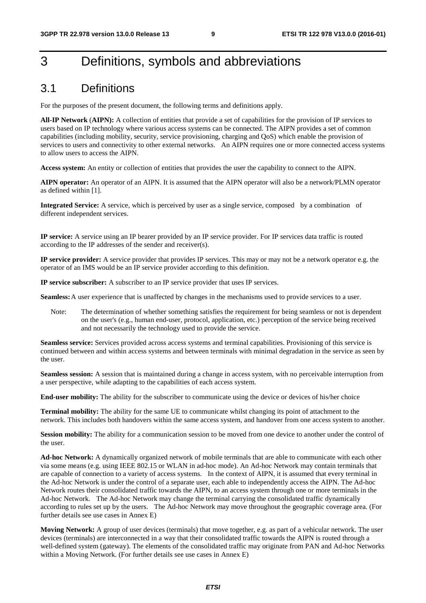## 3 Definitions, symbols and abbreviations

### 3.1 Definitions

For the purposes of the present document, the following terms and definitions apply.

**All-IP Network** (**AIPN):** A collection of entities that provide a set of capabilities for the provision of IP services to users based on IP technology where various access systems can be connected. The AIPN provides a set of common capabilities (including mobility, security, service provisioning, charging and QoS) which enable the provision of services to users and connectivity to other external networks. An AIPN requires one or more connected access systems to allow users to access the AIPN.

**Access system:** An entity or collection of entities that provides the user the capability to connect to the AIPN.

**AIPN operator:** An operator of an AIPN. It is assumed that the AIPN operator will also be a network/PLMN operator as defined within [1].

**Integrated Service:** A service, which is perceived by user as a single service, composed by a combination of different independent services.

**IP service:** A service using an IP bearer provided by an IP service provider. For IP services data traffic is routed according to the IP addresses of the sender and receiver(s).

**IP service provider:** A service provider that provides IP services. This may or may not be a network operator e.g. the operator of an IMS would be an IP service provider according to this definition.

**IP service subscriber:** A subscriber to an IP service provider that uses IP services.

**Seamless:** A user experience that is unaffected by changes in the mechanisms used to provide services to a user.

Note: The determination of whether something satisfies the requirement for being seamless or not is dependent on the user's (e.g., human end-user, protocol, application, etc.) perception of the service being received and not necessarily the technology used to provide the service.

**Seamless service:** Services provided across access systems and terminal capabilities. Provisioning of this service is continued between and within access systems and between terminals with minimal degradation in the service as seen by the user.

**Seamless session:** A session that is maintained during a change in access system, with no perceivable interruption from a user perspective, while adapting to the capabilities of each access system.

**End-user mobility:** The ability for the subscriber to communicate using the device or devices of his/her choice

**Terminal mobility:** The ability for the same UE to communicate whilst changing its point of attachment to the network. This includes both handovers within the same access system, and handover from one access system to another.

**Session mobility:** The ability for a communication session to be moved from one device to another under the control of the user.

**Ad-hoc Network:** A dynamically organized network of mobile terminals that are able to communicate with each other via some means (e.g. using IEEE 802.15 or WLAN in ad-hoc mode). An Ad-hoc Network may contain terminals that are capable of connection to a variety of access systems. In the context of AIPN, it is assumed that every terminal in the Ad-hoc Network is under the control of a separate user, each able to independently access the AIPN. The Ad-hoc Network routes their consolidated traffic towards the AIPN, to an access system through one or more terminals in the Ad-hoc Network. The Ad-hoc Network may change the terminal carrying the consolidated traffic dynamically according to rules set up by the users. The Ad-hoc Network may move throughout the geographic coverage area. (For further details see use cases in Annex E)

**Moving Network:** A group of user devices (terminals) that move together, e.g. as part of a vehicular network. The user devices (terminals) are interconnected in a way that their consolidated traffic towards the AIPN is routed through a well-defined system (gateway). The elements of the consolidated traffic may originate from PAN and Ad-hoc Networks within a Moving Network. (For further details see use cases in Annex E)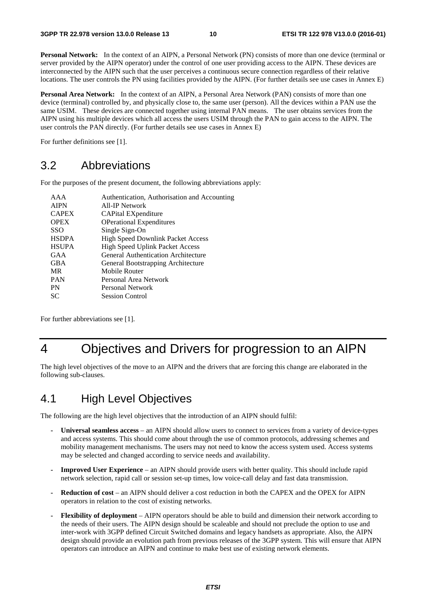**Personal Network:** In the context of an AIPN, a Personal Network (PN) consists of more than one device (terminal or server provided by the AIPN operator) under the control of one user providing access to the AIPN. These devices are interconnected by the AIPN such that the user perceives a continuous secure connection regardless of their relative locations. The user controls the PN using facilities provided by the AIPN. (For further details see use cases in Annex E)

**Personal Area Network:** In the context of an AIPN, a Personal Area Network (PAN) consists of more than one device (terminal) controlled by, and physically close to, the same user (person). All the devices within a PAN use the same USIM. These devices are connected together using internal PAN means. The user obtains services from the AIPN using his multiple devices which all access the users USIM through the PAN to gain access to the AIPN. The user controls the PAN directly. (For further details see use cases in Annex E)

For further definitions see [1].

### 3.2 Abbreviations

For the purposes of the present document, the following abbreviations apply:

| AAA          | Authentication, Authorisation and Accounting |
|--------------|----------------------------------------------|
| <b>AIPN</b>  | All-IP Network                               |
| <b>CAPEX</b> | CAPital EXpenditure                          |
| <b>OPEX</b>  | <b>OPerational Expenditures</b>              |
| <b>SSO</b>   | Single Sign-On                               |
| <b>HSDPA</b> | <b>High Speed Downlink Packet Access</b>     |
| <b>HSUPA</b> | <b>High Speed Uplink Packet Access</b>       |
| GAA          | General Authentication Architecture          |
| <b>GBA</b>   | General Bootstrapping Architecture           |
| MR           | Mobile Router                                |
| <b>PAN</b>   | Personal Area Network                        |
| PN           | Personal Network                             |
| SС           | <b>Session Control</b>                       |
|              |                                              |

For further abbreviations see [1].

## 4 Objectives and Drivers for progression to an AIPN

The high level objectives of the move to an AIPN and the drivers that are forcing this change are elaborated in the following sub-clauses.

## 4.1 High Level Objectives

The following are the high level objectives that the introduction of an AIPN should fulfil:

- **Universal seamless access** an AIPN should allow users to connect to services from a variety of device-types and access systems. This should come about through the use of common protocols, addressing schemes and mobility management mechanisms. The users may not need to know the access system used. Access systems may be selected and changed according to service needs and availability.
- **Improved User Experience**  an AIPN should provide users with better quality. This should include rapid network selection, rapid call or session set-up times, low voice-call delay and fast data transmission.
- **Reduction of cost** an AIPN should deliver a cost reduction in both the CAPEX and the OPEX for AIPN operators in relation to the cost of existing networks.
- **Flexibility of deployment** AIPN operators should be able to build and dimension their network according to the needs of their users. The AIPN design should be scaleable and should not preclude the option to use and inter-work with 3GPP defined Circuit Switched domains and legacy handsets as appropriate. Also, the AIPN design should provide an evolution path from previous releases of the 3GPP system. This will ensure that AIPN operators can introduce an AIPN and continue to make best use of existing network elements.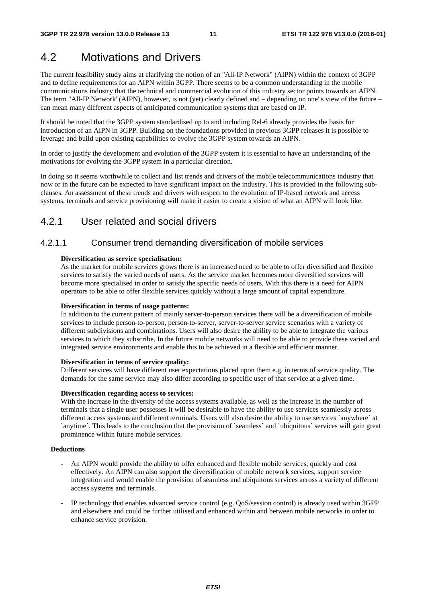## 4.2 Motivations and Drivers

The current feasibility study aims at clarifying the notion of an "All-IP Network" (AIPN) within the context of 3GPP and to define requirements for an AIPN within 3GPP. There seems to be a common understanding in the mobile communications industry that the technical and commercial evolution of this industry sector points towards an AIPN. The term "All-IP Network"(AIPN), however, is not (yet) clearly defined and – depending on one"s view of the future – can mean many different aspects of anticipated communication systems that are based on IP.

It should be noted that the 3GPP system standardised up to and including Rel-6 already provides the basis for introduction of an AIPN in 3GPP. Building on the foundations provided in previous 3GPP releases it is possible to leverage and build upon existing capabilities to evolve the 3GPP system towards an AIPN.

In order to justify the development and evolution of the 3GPP system it is essential to have an understanding of the motivations for evolving the 3GPP system in a particular direction.

In doing so it seems worthwhile to collect and list trends and drivers of the mobile telecommunications industry that now or in the future can be expected to have significant impact on the industry. This is provided in the following subclauses. An assessment of these trends and drivers with respect to the evolution of IP-based network and access systems, terminals and service provisioning will make it easier to create a vision of what an AIPN will look like.

### 4.2.1 User related and social drivers

#### 4.2.1.1 Consumer trend demanding diversification of mobile services

#### **Diversification as service specialisation:**

As the market for mobile services grows there is an increased need to be able to offer diversified and flexible services to satisfy the varied needs of users. As the service market becomes more diversified services will become more specialised in order to satisfy the specific needs of users. With this there is a need for AIPN operators to be able to offer flexible services quickly without a large amount of capital expenditure.

#### **Diversification in terms of usage patterns:**

In addition to the current pattern of mainly server-to-person services there will be a diversification of mobile services to include person-to-person, person-to-server, server-to-server service scenarios with a variety of different subdivisions and combinations. Users will also desire the ability to be able to integrate the various services to which they subscribe. In the future mobile networks will need to be able to provide these varied and integrated service environments and enable this to be achieved in a flexible and efficient manner.

#### **Diversification in terms of service quality:**

Different services will have different user expectations placed upon them e.g. in terms of service quality. The demands for the same service may also differ according to specific user of that service at a given time.

#### **Diversification regarding access to services:**

With the increase in the diversity of the access systems available, as well as the increase in the number of terminals that a single user possesses it will be desirable to have the ability to use services seamlessly across different access systems and different terminals. Users will also desire the ability to use services `anywhere` at `anytime`. This leads to the conclusion that the provision of `seamless` and `ubiquitous` services will gain great prominence within future mobile services.

#### **Deductions**

- An AIPN would provide the ability to offer enhanced and flexible mobile services, quickly and cost effectively. An AIPN can also support the diversification of mobile network services, support service integration and would enable the provision of seamless and ubiquitous services across a variety of different access systems and terminals.
- IP technology that enables advanced service control (e.g. QoS/session control) is already used within 3GPP and elsewhere and could be further utilised and enhanced within and between mobile networks in order to enhance service provision.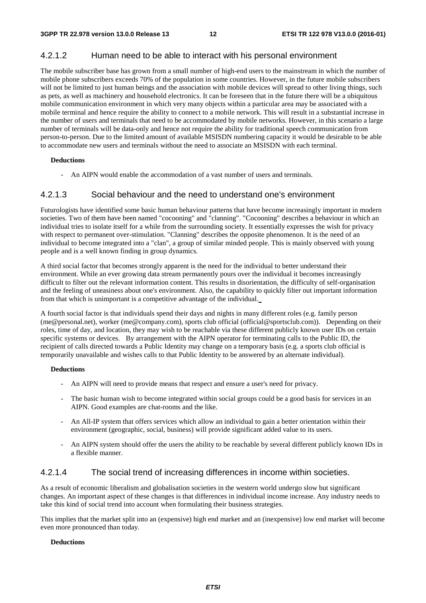#### 4.2.1.2 Human need to be able to interact with his personal environment

The mobile subscriber base has grown from a small number of high-end users to the mainstream in which the number of mobile phone subscribers exceeds 70% of the population in some countries. However, in the future mobile subscribers will not be limited to just human beings and the association with mobile devices will spread to other living things, such as pets, as well as machinery and household electronics. It can be foreseen that in the future there will be a ubiquitous mobile communication environment in which very many objects within a particular area may be associated with a mobile terminal and hence require the ability to connect to a mobile network. This will result in a substantial increase in the number of users and terminals that need to be accommodated by mobile networks. However, in this scenario a large number of terminals will be data-only and hence not require the ability for traditional speech communication from person-to-person. Due to the limited amount of available MSISDN numbering capacity it would be desirable to be able to accommodate new users and terminals without the need to associate an MSISDN with each terminal.

#### **Deductions**

An AIPN would enable the accommodation of a vast number of users and terminals.

#### 4.2.1.3 Social behaviour and the need to understand one's environment

Futurologists have identified some basic human behaviour patterns that have become increasingly important in modern societies. Two of them have been named "cocooning" and "clanning". "Cocooning" describes a behaviour in which an individual tries to isolate itself for a while from the surrounding society. It essentially expresses the wish for privacy with respect to permanent over-stimulation. "Clanning" describes the opposite phenomenon. It is the need of an individual to become integrated into a "clan", a group of similar minded people. This is mainly observed with young people and is a well known finding in group dynamics.

A third social factor that becomes strongly apparent is the need for the individual to better understand their environment. While an ever growing data stream permanently pours over the individual it becomes increasingly difficult to filter out the relevant information content. This results in disorientation, the difficulty of self-organisation and the feeling of uneasiness about one's environment. Also, the capability to quickly filter out important information from that which is unimportant is a competitive advantage of the individual.

A fourth social factor is that individuals spend their days and nights in many different roles (e.g. family person (me@personal.net), worker (me@company.com), sports club official (official@sportsclub.com)). Depending on their roles, time of day, and location, they may wish to be reachable via these different publicly known user IDs on certain specific systems or devices. By arrangement with the AIPN operator for terminating calls to the Public ID, the recipient of calls directed towards a Public Identity may change on a temporary basis (e.g. a sports club official is temporarily unavailable and wishes calls to that Public Identity to be answered by an alternate individual).

#### **Deductions**

- An AIPN will need to provide means that respect and ensure a user's need for privacy.
- The basic human wish to become integrated within social groups could be a good basis for services in an AIPN. Good examples are chat-rooms and the like.
- An All-IP system that offers services which allow an individual to gain a better orientation within their environment (geographic, social, business) will provide significant added value to its users.
- An AIPN system should offer the users the ability to be reachable by several different publicly known IDs in a flexible manner.

#### 4.2.1.4 The social trend of increasing differences in income within societies.

As a result of economic liberalism and globalisation societies in the western world undergo slow but significant changes. An important aspect of these changes is that differences in individual income increase. Any industry needs to take this kind of social trend into account when formulating their business strategies.

This implies that the market split into an (expensive) high end market and an (inexpensive) low end market will become even more pronounced than today.

#### **Deductions**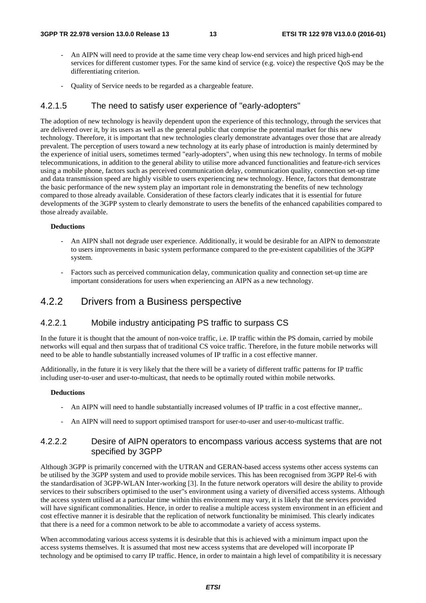- An AIPN will need to provide at the same time very cheap low-end services and high priced high-end services for different customer types. For the same kind of service (e.g. voice) the respective QoS may be the differentiating criterion.
- Quality of Service needs to be regarded as a chargeable feature.

#### 4.2.1.5 The need to satisfy user experience of "early-adopters"

The adoption of new technology is heavily dependent upon the experience of this technology, through the services that are delivered over it, by its users as well as the general public that comprise the potential market for this new technology. Therefore, it is important that new technologies clearly demonstrate advantages over those that are already prevalent. The perception of users toward a new technology at its early phase of introduction is mainly determined by the experience of initial users, sometimes termed "early-adopters", when using this new technology. In terms of mobile telecommunications, in addition to the general ability to utilise more advanced functionalities and feature-rich services using a mobile phone, factors such as perceived communication delay, communication quality, connection set-up time and data transmission speed are highly visible to users experiencing new technology. Hence, factors that demonstrate the basic performance of the new system play an important role in demonstrating the benefits of new technology compared to those already available. Consideration of these factors clearly indicates that it is essential for future developments of the 3GPP system to clearly demonstrate to users the benefits of the enhanced capabilities compared to those already available.

#### **Deductions**

- An AIPN shall not degrade user experience. Additionally, it would be desirable for an AIPN to demonstrate to users improvements in basic system performance compared to the pre-existent capabilities of the 3GPP system.
- Factors such as perceived communication delay, communication quality and connection set-up time are important considerations for users when experiencing an AIPN as a new technology.

### 4.2.2 Drivers from a Business perspective

#### 4.2.2.1 Mobile industry anticipating PS traffic to surpass CS

In the future it is thought that the amount of non-voice traffic, i.e. IP traffic within the PS domain, carried by mobile networks will equal and then surpass that of traditional CS voice traffic. Therefore, in the future mobile networks will need to be able to handle substantially increased volumes of IP traffic in a cost effective manner.

Additionally, in the future it is very likely that the there will be a variety of different traffic patterns for IP traffic including user-to-user and user-to-multicast, that needs to be optimally routed within mobile networks.

#### **Deductions**

- An AIPN will need to handle substantially increased volumes of IP traffic in a cost effective manner,.
- An AIPN will need to support optimised transport for user-to-user and user-to-multicast traffic.

#### 4.2.2.2 Desire of AIPN operators to encompass various access systems that are not specified by 3GPP

Although 3GPP is primarily concerned with the UTRAN and GERAN-based access systems other access systems can be utilised by the 3GPP system and used to provide mobile services. This has been recognised from 3GPP Rel-6 with the standardisation of 3GPP-WLAN Inter-working [3]. In the future network operators will desire the ability to provide services to their subscribers optimised to the user"s environment using a variety of diversified access systems. Although the access system utilised at a particular time within this environment may vary, it is likely that the services provided will have significant commonalities. Hence, in order to realise a multiple access system environment in an efficient and cost effective manner it is desirable that the replication of network functionality be minimised. This clearly indicates that there is a need for a common network to be able to accommodate a variety of access systems.

When accommodating various access systems it is desirable that this is achieved with a minimum impact upon the access systems themselves. It is assumed that most new access systems that are developed will incorporate IP technology and be optimised to carry IP traffic. Hence, in order to maintain a high level of compatibility it is necessary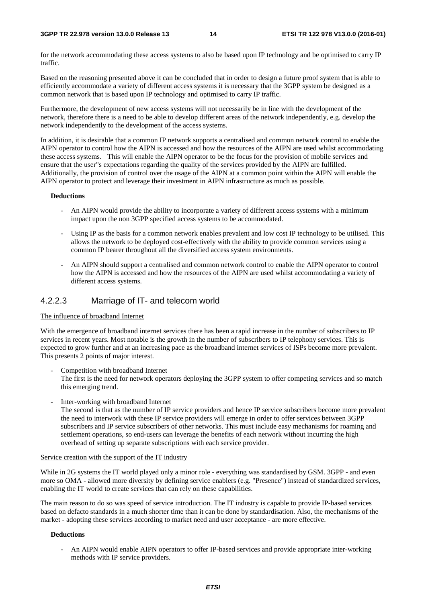for the network accommodating these access systems to also be based upon IP technology and be optimised to carry IP traffic.

Based on the reasoning presented above it can be concluded that in order to design a future proof system that is able to efficiently accommodate a variety of different access systems it is necessary that the 3GPP system be designed as a common network that is based upon IP technology and optimised to carry IP traffic.

Furthermore, the development of new access systems will not necessarily be in line with the development of the network, therefore there is a need to be able to develop different areas of the network independently, e.g. develop the network independently to the development of the access systems.

In addition, it is desirable that a common IP network supports a centralised and common network control to enable the AIPN operator to control how the AIPN is accessed and how the resources of the AIPN are used whilst accommodating these access systems. This will enable the AIPN operator to be the focus for the provision of mobile services and ensure that the user"s expectations regarding the quality of the services provided by the AIPN are fulfilled. Additionally, the provision of control over the usage of the AIPN at a common point within the AIPN will enable the AIPN operator to protect and leverage their investment in AIPN infrastructure as much as possible.

#### **Deductions**

- An AIPN would provide the ability to incorporate a variety of different access systems with a minimum impact upon the non 3GPP specified access systems to be accommodated.
- Using IP as the basis for a common network enables prevalent and low cost IP technology to be utilised. This allows the network to be deployed cost-effectively with the ability to provide common services using a common IP bearer throughout all the diversified access system environments.
- An AIPN should support a centralised and common network control to enable the AIPN operator to control how the AIPN is accessed and how the resources of the AIPN are used whilst accommodating a variety of different access systems.

#### 4.2.2.3 Marriage of IT- and telecom world

#### The influence of broadband Internet

With the emergence of broadband internet services there has been a rapid increase in the number of subscribers to IP services in recent years. Most notable is the growth in the number of subscribers to IP telephony services. This is expected to grow further and at an increasing pace as the broadband internet services of ISPs become more prevalent. This presents 2 points of major interest.

Competition with broadband Internet

The first is the need for network operators deploying the 3GPP system to offer competing services and so match this emerging trend.

Inter-working with broadband Internet

The second is that as the number of IP service providers and hence IP service subscribers become more prevalent the need to interwork with these IP service providers will emerge in order to offer services between 3GPP subscribers and IP service subscribers of other networks. This must include easy mechanisms for roaming and settlement operations, so end-users can leverage the benefits of each network without incurring the high overhead of setting up separate subscriptions with each service provider.

#### Service creation with the support of the IT industry

While in 2G systems the IT world played only a minor role - everything was standardised by GSM. 3GPP - and even more so OMA - allowed more diversity by defining service enablers (e.g. "Presence") instead of standardized services, enabling the IT world to create services that can rely on these capabilities.

The main reason to do so was speed of service introduction. The IT industry is capable to provide IP-based services based on defacto standards in a much shorter time than it can be done by standardisation. Also, the mechanisms of the market - adopting these services according to market need and user acceptance - are more effective.

#### **Deductions**

- An AIPN would enable AIPN operators to offer IP-based services and provide appropriate inter-working methods with IP service providers.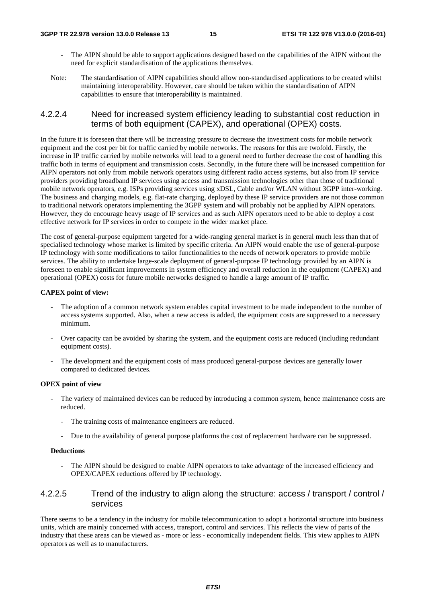- The AIPN should be able to support applications designed based on the capabilities of the AIPN without the need for explicit standardisation of the applications themselves.
- Note: The standardisation of AIPN capabilities should allow non-standardised applications to be created whilst maintaining interoperability. However, care should be taken within the standardisation of AIPN capabilities to ensure that interoperability is maintained.

#### 4.2.2.4 Need for increased system efficiency leading to substantial cost reduction in terms of both equipment (CAPEX), and operational (OPEX) costs.

In the future it is foreseen that there will be increasing pressure to decrease the investment costs for mobile network equipment and the cost per bit for traffic carried by mobile networks. The reasons for this are twofold. Firstly, the increase in IP traffic carried by mobile networks will lead to a general need to further decrease the cost of handling this traffic both in terms of equipment and transmission costs. Secondly, in the future there will be increased competition for AIPN operators not only from mobile network operators using different radio access systems, but also from IP service providers providing broadband IP services using access and transmission technologies other than those of traditional mobile network operators, e.g. ISPs providing services using xDSL, Cable and/or WLAN without 3GPP inter-working. The business and charging models, e.g. flat-rate charging, deployed by these IP service providers are not those common to traditional network operators implementing the 3GPP system and will probably not be applied by AIPN operators. However, they do encourage heavy usage of IP services and as such AIPN operators need to be able to deploy a cost effective network for IP services in order to compete in the wider market place.

The cost of general-purpose equipment targeted for a wide-ranging general market is in general much less than that of specialised technology whose market is limited by specific criteria. An AIPN would enable the use of general-purpose IP technology with some modifications to tailor functionalities to the needs of network operators to provide mobile services. The ability to undertake large-scale deployment of general-purpose IP technology provided by an AIPN is foreseen to enable significant improvements in system efficiency and overall reduction in the equipment (CAPEX) and operational (OPEX) costs for future mobile networks designed to handle a large amount of IP traffic.

#### **CAPEX point of view:**

- The adoption of a common network system enables capital investment to be made independent to the number of access systems supported. Also, when a new access is added, the equipment costs are suppressed to a necessary minimum.
- Over capacity can be avoided by sharing the system, and the equipment costs are reduced (including redundant equipment costs).
- The development and the equipment costs of mass produced general-purpose devices are generally lower compared to dedicated devices.

#### **OPEX point of view**

- The variety of maintained devices can be reduced by introducing a common system, hence maintenance costs are reduced.
	- The training costs of maintenance engineers are reduced.
	- Due to the availability of general purpose platforms the cost of replacement hardware can be suppressed.

#### **Deductions**

The AIPN should be designed to enable AIPN operators to take advantage of the increased efficiency and OPEX/CAPEX reductions offered by IP technology.

#### 4.2.2.5 Trend of the industry to align along the structure: access / transport / control / services

There seems to be a tendency in the industry for mobile telecommunication to adopt a horizontal structure into business units, which are mainly concerned with access, transport, control and services. This reflects the view of parts of the industry that these areas can be viewed as - more or less - economically independent fields. This view applies to AIPN operators as well as to manufacturers.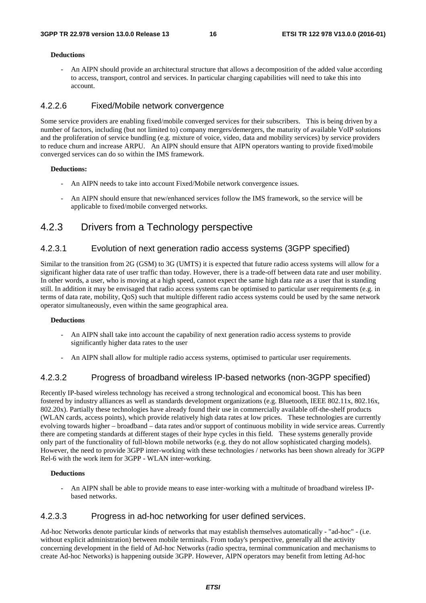#### **Deductions**

- An AIPN should provide an architectural structure that allows a decomposition of the added value according to access, transport, control and services. In particular charging capabilities will need to take this into account.

#### 4.2.2.6 Fixed/Mobile network convergence

Some service providers are enabling fixed/mobile converged services for their subscribers. This is being driven by a number of factors, including (but not limited to) company mergers/demergers, the maturity of available VoIP solutions and the proliferation of service bundling (e.g. mixture of voice, video, data and mobility services) by service providers to reduce churn and increase ARPU. An AIPN should ensure that AIPN operators wanting to provide fixed/mobile converged services can do so within the IMS framework.

#### **Deductions:**

- An AIPN needs to take into account Fixed/Mobile network convergence issues.
- An AIPN should ensure that new/enhanced services follow the IMS framework, so the service will be applicable to fixed/mobile converged networks.

### 4.2.3 Drivers from a Technology perspective

#### 4.2.3.1 Evolution of next generation radio access systems (3GPP specified)

Similar to the transition from 2G (GSM) to 3G (UMTS) it is expected that future radio access systems will allow for a significant higher data rate of user traffic than today. However, there is a trade-off between data rate and user mobility. In other words, a user, who is moving at a high speed, cannot expect the same high data rate as a user that is standing still. In addition it may be envisaged that radio access systems can be optimised to particular user requirements (e.g. in terms of data rate, mobility, QoS) such that multiple different radio access systems could be used by the same network operator simultaneously, even within the same geographical area.

#### **Deductions**

- An AIPN shall take into account the capability of next generation radio access systems to provide significantly higher data rates to the user
- An AIPN shall allow for multiple radio access systems, optimised to particular user requirements.

#### 4.2.3.2 Progress of broadband wireless IP-based networks (non-3GPP specified)

Recently IP-based wireless technology has received a strong technological and economical boost. This has been fostered by industry alliances as well as standards development organizations (e.g. Bluetooth, IEEE 802.11x, 802.16x, 802.20x). Partially these technologies have already found their use in commercially available off-the-shelf products (WLAN cards, access points), which provide relatively high data rates at low prices. These technologies are currently evolving towards higher – broadband – data rates and/or support of continuous mobility in wide service areas. Currently there are competing standards at different stages of their hype cycles in this field. These systems generally provide only part of the functionality of full-blown mobile networks (e.g. they do not allow sophisticated charging models). However, the need to provide 3GPP inter-working with these technologies / networks has been shown already for 3GPP Rel-6 with the work item for 3GPP - WLAN inter-working.

#### **Deductions**

- An AIPN shall be able to provide means to ease inter-working with a multitude of broadband wireless IPbased networks.

#### 4.2.3.3 Progress in ad-hoc networking for user defined services.

Ad-hoc Networks denote particular kinds of networks that may establish themselves automatically - "ad-hoc" - (i.e. without explicit administration) between mobile terminals. From today's perspective, generally all the activity concerning development in the field of Ad-hoc Networks (radio spectra, terminal communication and mechanisms to create Ad-hoc Networks) is happening outside 3GPP. However, AIPN operators may benefit from letting Ad-hoc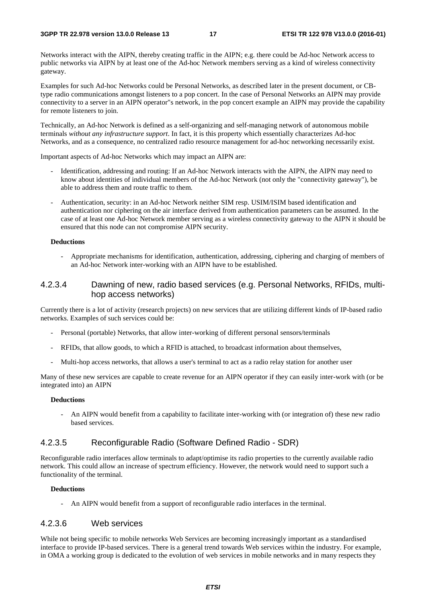Networks interact with the AIPN, thereby creating traffic in the AIPN; e.g. there could be Ad-hoc Network access to public networks via AIPN by at least one of the Ad-hoc Network members serving as a kind of wireless connectivity gateway.

Examples for such Ad-hoc Networks could be Personal Networks, as described later in the present document, or CBtype radio communications amongst listeners to a pop concert. In the case of Personal Networks an AIPN may provide connectivity to a server in an AIPN operator"s network, in the pop concert example an AIPN may provide the capability for remote listeners to join.

Technically, an Ad-hoc Network is defined as a self-organizing and self-managing network of autonomous mobile terminals *without any infrastructure support*. In fact, it is this property which essentially characterizes Ad-hoc Networks, and as a consequence, no centralized radio resource management for ad-hoc networking necessarily exist.

Important aspects of Ad-hoc Networks which may impact an AIPN are:

- Identification, addressing and routing: If an Ad-hoc Network interacts with the AIPN, the AIPN may need to know about identities of individual members of the Ad-hoc Network (not only the "connectivity gateway"), be able to address them and route traffic to them.
- Authentication, security: in an Ad-hoc Network neither SIM resp. USIM/ISIM based identification and authentication nor ciphering on the air interface derived from authentication parameters can be assumed. In the case of at least one Ad-hoc Network member serving as a wireless connectivity gateway to the AIPN it should be ensured that this node can not compromise AIPN security.

#### **Deductions**

- Appropriate mechanisms for identification, authentication, addressing, ciphering and charging of members of an Ad-hoc Network inter-working with an AIPN have to be established.

#### 4.2.3.4 Dawning of new, radio based services (e.g. Personal Networks, RFIDs, multihop access networks)

Currently there is a lot of activity (research projects) on new services that are utilizing different kinds of IP-based radio networks. Examples of such services could be:

- Personal (portable) Networks, that allow inter-working of different personal sensors/terminals
- RFIDs, that allow goods, to which a RFID is attached, to broadcast information about themselves,
- Multi-hop access networks, that allows a user's terminal to act as a radio relay station for another user

Many of these new services are capable to create revenue for an AIPN operator if they can easily inter-work with (or be integrated into) an AIPN

#### **Deductions**

- An AIPN would benefit from a capability to facilitate inter-working with (or integration of) these new radio based services.

#### 4.2.3.5 Reconfigurable Radio (Software Defined Radio - SDR)

Reconfigurable radio interfaces allow terminals to adapt/optimise its radio properties to the currently available radio network. This could allow an increase of spectrum efficiency. However, the network would need to support such a functionality of the terminal.

#### **Deductions**

- An AIPN would benefit from a support of reconfigurable radio interfaces in the terminal.

#### 4.2.3.6 Web services

While not being specific to mobile networks Web Services are becoming increasingly important as a standardised interface to provide IP-based services. There is a general trend towards Web services within the industry. For example, in OMA a working group is dedicated to the evolution of web services in mobile networks and in many respects they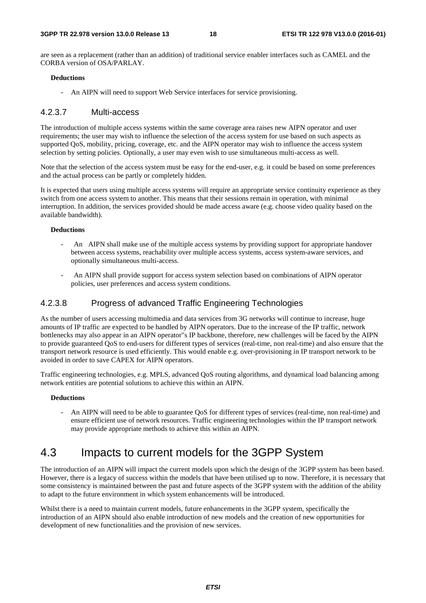are seen as a replacement (rather than an addition) of traditional service enabler interfaces such as CAMEL and the CORBA version of OSA/PARLAY.

#### **Deductions**

- An AIPN will need to support Web Service interfaces for service provisioning.

#### 4.2.3.7 Multi-access

The introduction of multiple access systems within the same coverage area raises new AIPN operator and user requirements; the user may wish to influence the selection of the access system for use based on such aspects as supported QoS, mobility, pricing, coverage, etc. and the AIPN operator may wish to influence the access system selection by setting policies. Optionally, a user may even wish to use simultaneous multi-access as well.

Note that the selection of the access system must be easy for the end-user, e.g. it could be based on some preferences and the actual process can be partly or completely hidden.

It is expected that users using multiple access systems will require an appropriate service continuity experience as they switch from one access system to another. This means that their sessions remain in operation, with minimal interruption. In addition, the services provided should be made access aware (e.g. choose video quality based on the available bandwidth).

#### **Deductions**

- An AIPN shall make use of the multiple access systems by providing support for appropriate handover between access systems, reachability over multiple access systems, access system-aware services, and optionally simultaneous multi-access.
- An AIPN shall provide support for access system selection based on combinations of AIPN operator policies, user preferences and access system conditions.

#### 4.2.3.8 Progress of advanced Traffic Engineering Technologies

As the number of users accessing multimedia and data services from 3G networks will continue to increase, huge amounts of IP traffic are expected to be handled by AIPN operators. Due to the increase of the IP traffic, network bottlenecks may also appear in an AIPN operator"s IP backbone, therefore, new challenges will be faced by the AIPN to provide guaranteed QoS to end-users for different types of services (real-time, non real-time) and also ensure that the transport network resource is used efficiently. This would enable e.g. over-provisioning in IP transport network to be avoided in order to save CAPEX for AIPN operators.

Traffic engineering technologies, e.g. MPLS, advanced QoS routing algorithms, and dynamical load balancing among network entities are potential solutions to achieve this within an AIPN.

#### **Deductions**

- An AIPN will need to be able to guarantee QoS for different types of services (real-time, non real-time) and ensure efficient use of network resources. Traffic engineering technologies within the IP transport network may provide appropriate methods to achieve this within an AIPN.

## 4.3 Impacts to current models for the 3GPP System

The introduction of an AIPN will impact the current models upon which the design of the 3GPP system has been based. However, there is a legacy of success within the models that have been utilised up to now. Therefore, it is necessary that some consistency is maintained between the past and future aspects of the 3GPP system with the addition of the ability to adapt to the future environment in which system enhancements will be introduced.

Whilst there is a need to maintain current models, future enhancements in the 3GPP system, specifically the introduction of an AIPN should also enable introduction of new models and the creation of new opportunities for development of new functionalities and the provision of new services.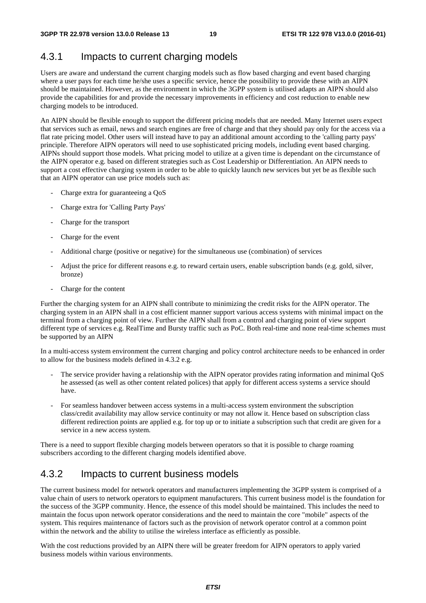### 4.3.1 Impacts to current charging models

Users are aware and understand the current charging models such as flow based charging and event based charging where a user pays for each time he/she uses a specific service, hence the possibility to provide these with an AIPN should be maintained. However, as the environment in which the 3GPP system is utilised adapts an AIPN should also provide the capabilities for and provide the necessary improvements in efficiency and cost reduction to enable new charging models to be introduced.

An AIPN should be flexible enough to support the different pricing models that are needed. Many Internet users expect that services such as email, news and search engines are free of charge and that they should pay only for the access via a flat rate pricing model. Other users will instead have to pay an additional amount according to the 'calling party pays' principle. Therefore AIPN operators will need to use sophisticated pricing models, including event based charging. AIPNs should support those models. What pricing model to utilize at a given time is dependant on the circumstance of the AIPN operator e.g. based on different strategies such as Cost Leadership or Differentiation. An AIPN needs to support a cost effective charging system in order to be able to quickly launch new services but yet be as flexible such that an AIPN operator can use price models such as:

- Charge extra for guaranteeing a OoS
- Charge extra for 'Calling Party Pays'
- Charge for the transport
- Charge for the event
- Additional charge (positive or negative) for the simultaneous use (combination) of services
- Adjust the price for different reasons e.g. to reward certain users, enable subscription bands (e.g. gold, silver, bronze)
- Charge for the content

Further the charging system for an AIPN shall contribute to minimizing the credit risks for the AIPN operator. The charging system in an AIPN shall in a cost efficient manner support various access systems with minimal impact on the terminal from a charging point of view. Further the AIPN shall from a control and charging point of view support different type of services e.g. RealTime and Bursty traffic such as PoC. Both real-time and none real-time schemes must be supported by an AIPN

In a multi-access system environment the current charging and policy control architecture needs to be enhanced in order to allow for the business models defined in 4.3.2 e.g.

- The service provider having a relationship with the AIPN operator provides rating information and minimal QoS he assessed (as well as other content related polices) that apply for different access systems a service should have.
- For seamless handover between access systems in a multi-access system environment the subscription class/credit availability may allow service continuity or may not allow it. Hence based on subscription class different redirection points are applied e.g. for top up or to initiate a subscription such that credit are given for a service in a new access system.

There is a need to support flexible charging models between operators so that it is possible to charge roaming subscribers according to the different charging models identified above.

### 4.3.2 Impacts to current business models

The current business model for network operators and manufacturers implementing the 3GPP system is comprised of a value chain of users to network operators to equipment manufacturers. This current business model is the foundation for the success of the 3GPP community. Hence, the essence of this model should be maintained. This includes the need to maintain the focus upon network operator considerations and the need to maintain the core "mobile" aspects of the system. This requires maintenance of factors such as the provision of network operator control at a common point within the network and the ability to utilise the wireless interface as efficiently as possible.

With the cost reductions provided by an AIPN there will be greater freedom for AIPN operators to apply varied business models within various environments.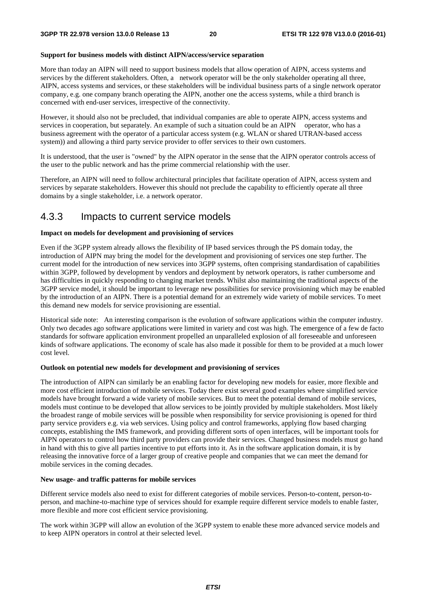#### **Support for business models with distinct AIPN/access/service separation**

More than today an AIPN will need to support business models that allow operation of AIPN, access systems and services by the different stakeholders. Often, a network operator will be the only stakeholder operating all three, AIPN, access systems and services, or these stakeholders will be individual business parts of a single network operator company, e.g. one company branch operating the AIPN, another one the access systems, while a third branch is concerned with end-user services, irrespective of the connectivity.

However, it should also not be precluded, that individual companies are able to operate AIPN, access systems and services in cooperation, but separately. An example of such a situation could be an AIPN operator, who has a business agreement with the operator of a particular access system (e.g. WLAN or shared UTRAN-based access system)) and allowing a third party service provider to offer services to their own customers.

It is understood, that the user is "owned" by the AIPN operator in the sense that the AIPN operator controls access of the user to the public network and has the prime commercial relationship with the user.

Therefore, an AIPN will need to follow architectural principles that facilitate operation of AIPN, access system and services by separate stakeholders. However this should not preclude the capability to efficiently operate all three domains by a single stakeholder, i.e. a network operator.

### 4.3.3 Impacts to current service models

#### **Impact on models for development and provisioning of services**

Even if the 3GPP system already allows the flexibility of IP based services through the PS domain today, the introduction of AIPN may bring the model for the development and provisioning of services one step further. The current model for the introduction of new services into 3GPP systems, often comprising standardisation of capabilities within 3GPP, followed by development by vendors and deployment by network operators, is rather cumbersome and has difficulties in quickly responding to changing market trends. Whilst also maintaining the traditional aspects of the 3GPP service model, it should be important to leverage new possibilities for service provisioning which may be enabled by the introduction of an AIPN. There is a potential demand for an extremely wide variety of mobile services. To meet this demand new models for service provisioning are essential.

Historical side note: An interesting comparison is the evolution of software applications within the computer industry. Only two decades ago software applications were limited in variety and cost was high. The emergence of a few de facto standards for software application environment propelled an unparalleled explosion of all foreseeable and unforeseen kinds of software applications. The economy of scale has also made it possible for them to be provided at a much lower cost level.

#### **Outlook on potential new models for development and provisioning of services**

The introduction of AIPN can similarly be an enabling factor for developing new models for easier, more flexible and more cost efficient introduction of mobile services. Today there exist several good examples where simplified service models have brought forward a wide variety of mobile services. But to meet the potential demand of mobile services, models must continue to be developed that allow services to be jointly provided by multiple stakeholders. Most likely the broadest range of mobile services will be possible when responsibility for service provisioning is opened for third party service providers e.g. via web services. Using policy and control frameworks, applying flow based charging concepts, establishing the IMS framework, and providing different sorts of open interfaces, will be important tools for AIPN operators to control how third party providers can provide their services. Changed business models must go hand in hand with this to give all parties incentive to put efforts into it. As in the software application domain, it is by releasing the innovative force of a larger group of creative people and companies that we can meet the demand for mobile services in the coming decades.

#### **New usage- and traffic patterns for mobile services**

Different service models also need to exist for different categories of mobile services. Person-to-content, person-toperson, and machine-to-machine type of services should for example require different service models to enable faster, more flexible and more cost efficient service provisioning.

The work within 3GPP will allow an evolution of the 3GPP system to enable these more advanced service models and to keep AIPN operators in control at their selected level.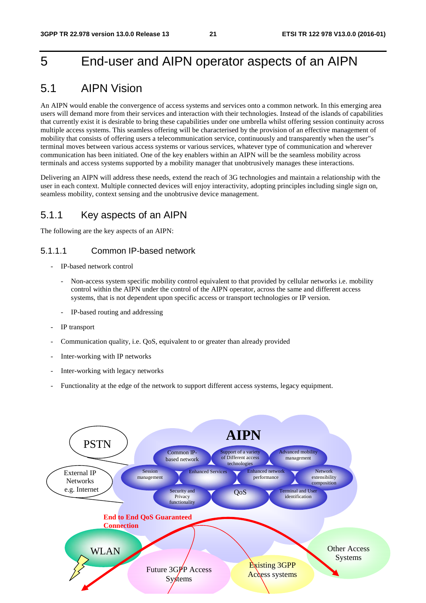## 5 End-user and AIPN operator aspects of an AIPN

## 5.1 AIPN Vision

An AIPN would enable the convergence of access systems and services onto a common network. In this emerging area users will demand more from their services and interaction with their technologies. Instead of the islands of capabilities that currently exist it is desirable to bring these capabilities under one umbrella whilst offering session continuity across multiple access systems. This seamless offering will be characterised by the provision of an effective management of mobility that consists of offering users a telecommunication service, continuously and transparently when the user"s terminal moves between various access systems or various services, whatever type of communication and wherever communication has been initiated. One of the key enablers within an AIPN will be the seamless mobility across terminals and access systems supported by a mobility manager that unobtrusively manages these interactions.

Delivering an AIPN will address these needs, extend the reach of 3G technologies and maintain a relationship with the user in each context. Multiple connected devices will enjoy interactivity, adopting principles including single sign on, seamless mobility, context sensing and the unobtrusive device management.

### 5.1.1 Key aspects of an AIPN

The following are the key aspects of an AIPN:

#### 5.1.1.1 Common IP-based network

- IP-based network control
	- Non-access system specific mobility control equivalent to that provided by cellular networks i.e. mobility control within the AIPN under the control of the AIPN operator, across the same and different access systems, that is not dependent upon specific access or transport technologies or IP version.
	- IP-based routing and addressing
- IP transport
- Communication quality, i.e. QoS, equivalent to or greater than already provided
- Inter-working with IP networks
- Inter-working with legacy networks
- Functionality at the edge of the network to support different access systems, legacy equipment.

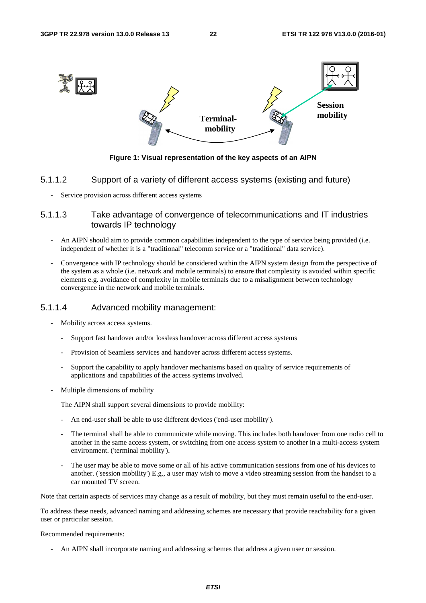

Figure 1: Visual representation of the key aspects of an AIPN

#### 5.1.1.2 Support of a variety of different access systems (existing and future)

- Service provision across different access systems

#### 5.1.1.3 Take advantage of convergence of telecommunications and IT industries towards IP technology

- An AIPN should aim to provide common capabilities independent to the type of service being provided (i.e. independent of whether it is a "traditional" telecomm service or a "traditional" data service).
- Convergence with IP technology should be considered within the AIPN system design from the perspective of the system as a whole (i.e. network and mobile terminals) to ensure that complexity is avoided within specific elements e.g. avoidance of complexity in mobile terminals due to a misalignment between technology convergence in the network and mobile terminals.

#### 5.1.1.4 Advanced mobility management:

- Mobility across access systems.
	- Support fast handover and/or lossless handover across different access systems
	- Provision of Seamless services and handover across different access systems.
	- Support the capability to apply handover mechanisms based on quality of service requirements of applications and capabilities of the access systems involved.
- Multiple dimensions of mobility

The AIPN shall support several dimensions to provide mobility:

- An end-user shall be able to use different devices ('end-user mobility').
- The terminal shall be able to communicate while moving. This includes both handover from one radio cell to another in the same access system, or switching from one access system to another in a multi-access system environment. ('terminal mobility').
- environment. ('terminal mobility').<br>The user may be able to move some or all of his active communication sessions from one of his devices to another. ('session mobility') E.g., a user may wish to move a video streaming session from the handset to a car mounted TV screen.

Note that certain aspects of services may change as a result of mobility, but they must remain useful to the end-user.

To address these needs, advanced naming and addressing schemes are necessary that provide reachability for a given user or particular session.

#### Recommended requirements:

- An AIPN shall incorporate naming and addressing schemes that address a given user or session.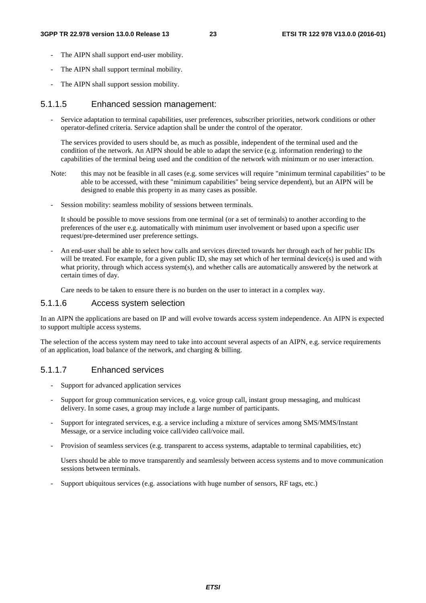- The AIPN shall support end-user mobility.
- The AIPN shall support terminal mobility.
- The AIPN shall support session mobility.

#### 5.1.1.5 Enhanced session management:

- Service adaptation to terminal capabilities, user preferences, subscriber priorities, network conditions or other operator-defined criteria. Service adaption shall be under the control of the operator.

The services provided to users should be, as much as possible, independent of the terminal used and the condition of the network. An AIPN should be able to adapt the service (e.g. information rendering) to the capabilities of the terminal being used and the condition of the network with minimum or no user interaction.

- Note: this may not be feasible in all cases (e.g. some services will require "minimum terminal capabilities" to be able to be accessed, with these "minimum capabilities" being service dependent), but an AIPN will be designed to enable this property in as many cases as possible.
- Session mobility: seamless mobility of sessions between terminals.

It should be possible to move sessions from one terminal (or a set of terminals) to another according to the preferences of the user e.g. automatically with minimum user involvement or based upon a specific user request/pre-determined user preference settings.

- An end-user shall be able to select how calls and services directed towards her through each of her public IDs will be treated. For example, for a given public ID, she may set which of her terminal device(s) is used and with what priority, through which access system(s), and whether calls are automatically answered by the network at certain times of day.

Care needs to be taken to ensure there is no burden on the user to interact in a complex way.

#### 5.1.1.6 Access system selection

In an AIPN the applications are based on IP and will evolve towards access system independence. An AIPN is expected to support multiple access systems.

The selection of the access system may need to take into account several aspects of an AIPN, e.g. service requirements of an application, load balance of the network, and charging & billing.

#### 5.1.1.7 Enhanced services

- Support for advanced application services
- Support for group communication services, e.g. voice group call, instant group messaging, and multicast delivery. In some cases, a group may include a large number of participants.
- Support for integrated services, e.g. a service including a mixture of services among SMS/MMS/Instant Message, or a service including voice call/video call/voice mail.
- Provision of seamless services (e.g. transparent to access systems, adaptable to terminal capabilities, etc)

 Users should be able to move transparently and seamlessly between access systems and to move communication sessions between terminals.

- Support ubiquitous services (e.g. associations with huge number of sensors, RF tags, etc.)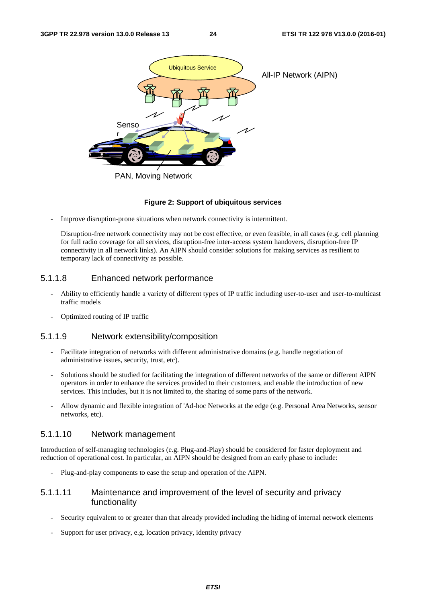

#### **Figure 2: Support of ubiquitous services**

Improve disruption-prone situations when network connectivity is intermittent.

Disruption-free network connectivity may not be cost effective, or even feasible, in all cases (e.g. cell planning for full radio coverage for all services, disruption-free inter-access system handovers, disruption-free IP connectivity in all network links). An AIPN should consider solutions for making services as resilient to temporary lack of connectivity as possible.

#### 5.1.1.8 Enhanced network performance

- Ability to efficiently handle a variety of different types of IP traffic including user-to-user and user-to-multicast traffic models
- Optimized routing of IP traffic

#### 5.1.1.9 Network extensibility/composition

- Facilitate integration of networks with different administrative domains (e.g. handle negotiation of administrative issues, security, trust, etc).
- Solutions should be studied for facilitating the integration of different networks of the same or different AIPN operators in order to enhance the services provided to their customers, and enable the introduction of new services. This includes, but it is not limited to, the sharing of some parts of the network.
- Allow dynamic and flexible integration of 'Ad-hoc Networks at the edge (e.g. Personal Area Networks, sensor networks, etc).

#### 5.1.1.10 Network management

Introduction of self-managing technologies (e.g. Plug-and-Play) should be considered for faster deployment and reduction of operational cost. In particular, an AIPN should be designed from an early phase to include:

- Plug-and-play components to ease the setup and operation of the AIPN.

#### 5.1.1.11 Maintenance and improvement of the level of security and privacy functionality

- Security equivalent to or greater than that already provided including the hiding of internal network elements
- Support for user privacy, e.g. location privacy, identity privacy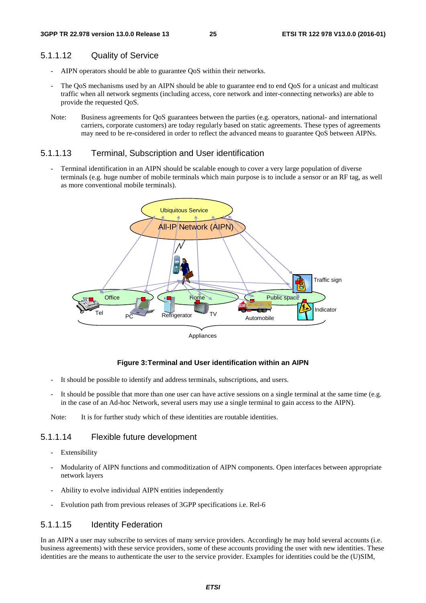#### 5.1.1.12 Quality of Service

- AIPN operators should be able to guarantee QoS within their networks.
- The QoS mechanisms used by an AIPN should be able to guarantee end to end QoS for a unicast and multicast traffic when all network segments (including access, core network and inter-connecting networks) are able to provide the requested QoS.
- Note: Business agreements for QoS guarantees between the parties (e.g. operators, national- and international carriers, corporate customers) are today regularly based on static agreements. These types of agreements may need to be re-considered in order to reflect the advanced means to guarantee QoS between AIPNs.

#### 5.1.1.13 Terminal, Subscription and User identification

Terminal identification in an AIPN should be scalable enough to cover a very large population of diverse terminals (e.g. huge number of mobile terminals which main purpose is to include a sensor or an RF tag, as well as more conventional mobile terminals).



#### **Figure 3: Terminal and User identification within an AIPN**

- It should be possible to identify and address terminals, subscriptions, and users.
- It should be possible that more than one user can have active sessions on a single terminal at the same time (e.g. in the case of an Ad-hoc Network, several users may use a single terminal to gain access to the AIPN).

Note: It is for further study which of these identities are routable identities.

#### 5.1.1.14 Flexible future development

- Extensibility
- Modularity of AIPN functions and commoditization of AIPN components. Open interfaces between appropriate network layers
- Ability to evolve individual AIPN entities independently
- Evolution path from previous releases of 3GPP specifications i.e. Rel-6

#### 5.1.1.15 Identity Federation

In an AIPN a user may subscribe to services of many service providers. Accordingly he may hold several accounts (i.e. business agreements) with these service providers, some of these accounts providing the user with new identities. These identities are the means to authenticate the user to the service provider. Examples for identities could be the (U)SIM,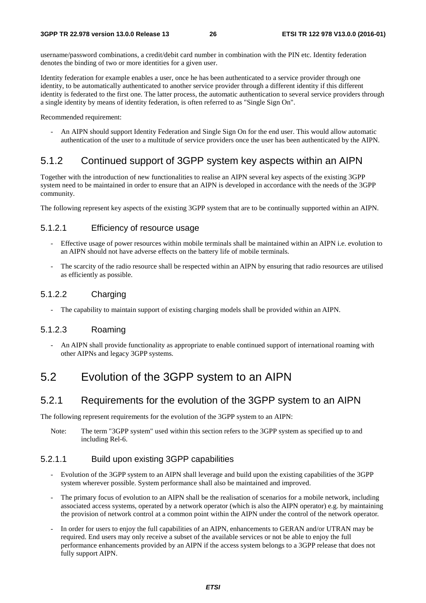username/password combinations, a credit/debit card number in combination with the PIN etc. Identity federation denotes the binding of two or more identities for a given user.

Identity federation for example enables a user, once he has been authenticated to a service provider through one identity, to be automatically authenticated to another service provider through a different identity if this different identity is federated to the first one. The latter process, the automatic authentication to several service providers through a single identity by means of identity federation, is often referred to as "Single Sign On".

Recommended requirement:

- An AIPN should support Identity Federation and Single Sign On for the end user. This would allow automatic authentication of the user to a multitude of service providers once the user has been authenticated by the AIPN.

## 5.1.2 Continued support of 3GPP system key aspects within an AIPN

Together with the introduction of new functionalities to realise an AIPN several key aspects of the existing 3GPP system need to be maintained in order to ensure that an AIPN is developed in accordance with the needs of the 3GPP community.

The following represent key aspects of the existing 3GPP system that are to be continually supported within an AIPN.

### 5.1.2.1 Efficiency of resource usage

- Effective usage of power resources within mobile terminals shall be maintained within an AIPN i.e. evolution to an AIPN should not have adverse effects on the battery life of mobile terminals.
- The scarcity of the radio resource shall be respected within an AIPN by ensuring that radio resources are utilised as efficiently as possible.

### 5.1.2.2 Charging

The capability to maintain support of existing charging models shall be provided within an AIPN.

#### 5.1.2.3 Roaming

- An AIPN shall provide functionality as appropriate to enable continued support of international roaming with other AIPNs and legacy 3GPP systems.

## 5.2 Evolution of the 3GPP system to an AIPN

### 5.2.1 Requirements for the evolution of the 3GPP system to an AIPN

The following represent requirements for the evolution of the 3GPP system to an AIPN:

Note: The term "3GPP system" used within this section refers to the 3GPP system as specified up to and including Rel-6.

#### 5.2.1.1 Build upon existing 3GPP capabilities

- Evolution of the 3GPP system to an AIPN shall leverage and build upon the existing capabilities of the 3GPP system wherever possible. System performance shall also be maintained and improved.
- The primary focus of evolution to an AIPN shall be the realisation of scenarios for a mobile network, including associated access systems, operated by a network operator (which is also the AIPN operator) e.g. by maintaining the provision of network control at a common point within the AIPN under the control of the network operator.
- In order for users to enjoy the full capabilities of an AIPN, enhancements to GERAN and/or UTRAN may be required. End users may only receive a subset of the available services or not be able to enjoy the full performance enhancements provided by an AIPN if the access system belongs to a 3GPP release that does not fully support AIPN.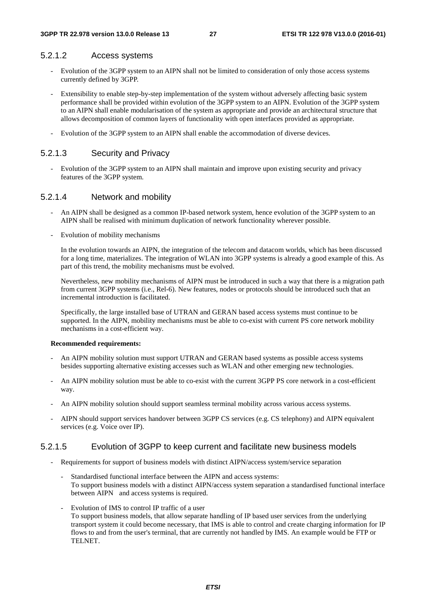#### 5.2.1.2 Access systems

- Evolution of the 3GPP system to an AIPN shall not be limited to consideration of only those access systems currently defined by 3GPP.
- Extensibility to enable step-by-step implementation of the system without adversely affecting basic system performance shall be provided within evolution of the 3GPP system to an AIPN. Evolution of the 3GPP system to an AIPN shall enable modularisation of the system as appropriate and provide an architectural structure that allows decomposition of common layers of functionality with open interfaces provided as appropriate.
- Evolution of the 3GPP system to an AIPN shall enable the accommodation of diverse devices.

#### 5.2.1.3 Security and Privacy

- Evolution of the 3GPP system to an AIPN shall maintain and improve upon existing security and privacy features of the 3GPP system.

#### 5.2.1.4 Network and mobility

- An AIPN shall be designed as a common IP-based network system, hence evolution of the 3GPP system to an AIPN shall be realised with minimum duplication of network functionality wherever possible.
- Evolution of mobility mechanisms

 In the evolution towards an AIPN, the integration of the telecom and datacom worlds, which has been discussed for a long time, materializes. The integration of WLAN into 3GPP systems is already a good example of this. As part of this trend, the mobility mechanisms must be evolved.

 Nevertheless, new mobility mechanisms of AIPN must be introduced in such a way that there is a migration path from current 3GPP systems (i.e., Rel-6). New features, nodes or protocols should be introduced such that an incremental introduction is facilitated.

 Specifically, the large installed base of UTRAN and GERAN based access systems must continue to be supported. In the AIPN, mobility mechanisms must be able to co-exist with current PS core network mobility mechanisms in a cost-efficient way.

#### **Recommended requirements:**

- An AIPN mobility solution must support UTRAN and GERAN based systems as possible access systems besides supporting alternative existing accesses such as WLAN and other emerging new technologies.
- An AIPN mobility solution must be able to co-exist with the current 3GPP PS core network in a cost-efficient way.
- An AIPN mobility solution should support seamless terminal mobility across various access systems.
- AIPN should support services handover between 3GPP CS services (e.g. CS telephony) and AIPN equivalent services (e.g. Voice over IP).

#### 5.2.1.5 Evolution of 3GPP to keep current and facilitate new business models

- Requirements for support of business models with distinct AIPN/access system/service separation
	- Standardised functional interface between the AIPN and access systems: To support business models with a distinct AIPN/access system separation a standardised functional interface between AIPN and access systems is required.
	- Evolution of IMS to control IP traffic of a user To support business models, that allow separate handling of IP based user services from the underlying transport system it could become necessary, that IMS is able to control and create charging information for IP flows to and from the user's terminal, that are currently not handled by IMS. An example would be FTP or TELNET.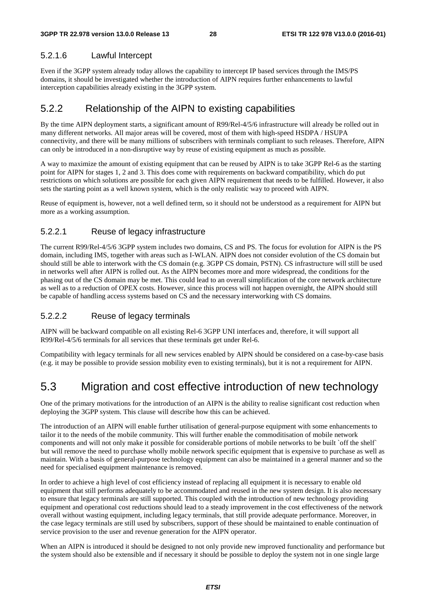#### 5.2.1.6 Lawful Intercept

Even if the 3GPP system already today allows the capability to intercept IP based services through the IMS/PS domains, it should be investigated whether the introduction of AIPN requires further enhancements to lawful interception capabilities already existing in the 3GPP system.

### 5.2.2 Relationship of the AIPN to existing capabilities

By the time AIPN deployment starts, a significant amount of R99/Rel-4/5/6 infrastructure will already be rolled out in many different networks. All major areas will be covered, most of them with high-speed HSDPA / HSUPA connectivity, and there will be many millions of subscribers with terminals compliant to such releases. Therefore, AIPN can only be introduced in a non-disruptive way by reuse of existing equipment as much as possible.

A way to maximize the amount of existing equipment that can be reused by AIPN is to take 3GPP Rel-6 as the starting point for AIPN for stages 1, 2 and 3. This does come with requirements on backward compatibility, which do put restrictions on which solutions are possible for each given AIPN requirement that needs to be fulfilled. However, it also sets the starting point as a well known system, which is the only realistic way to proceed with AIPN.

Reuse of equipment is, however, not a well defined term, so it should not be understood as a requirement for AIPN but more as a working assumption.

### 5.2.2.1 Reuse of legacy infrastructure

The current R99/Rel-4/5/6 3GPP system includes two domains, CS and PS. The focus for evolution for AIPN is the PS domain, including IMS, together with areas such as I-WLAN. AIPN does not consider evolution of the CS domain but should still be able to interwork with the CS domain (e.g. 3GPP CS domain, PSTN). CS infrastructure will still be used in networks well after AIPN is rolled out. As the AIPN becomes more and more widespread, the conditions for the phasing out of the CS domain may be met. This could lead to an overall simplification of the core network architecture as well as to a reduction of OPEX costs. However, since this process will not happen overnight, the AIPN should still be capable of handling access systems based on CS and the necessary interworking with CS domains.

### 5.2.2.2 Reuse of legacy terminals

AIPN will be backward compatible on all existing Rel-6 3GPP UNI interfaces and, therefore, it will support all R99/Rel-4/5/6 terminals for all services that these terminals get under Rel-6.

Compatibility with legacy terminals for all new services enabled by AIPN should be considered on a case-by-case basis (e.g. it may be possible to provide session mobility even to existing terminals), but it is not a requirement for AIPN.

## 5.3 Migration and cost effective introduction of new technology

One of the primary motivations for the introduction of an AIPN is the ability to realise significant cost reduction when deploying the 3GPP system. This clause will describe how this can be achieved.

The introduction of an AIPN will enable further utilisation of general-purpose equipment with some enhancements to tailor it to the needs of the mobile community. This will further enable the commoditisation of mobile network components and will not only make it possible for considerable portions of mobile networks to be built `off the shelf` but will remove the need to purchase wholly mobile network specific equipment that is expensive to purchase as well as maintain. With a basis of general-purpose technology equipment can also be maintained in a general manner and so the need for specialised equipment maintenance is removed.

In order to achieve a high level of cost efficiency instead of replacing all equipment it is necessary to enable old equipment that still performs adequately to be accommodated and reused in the new system design. It is also necessary to ensure that legacy terminals are still supported. This coupled with the introduction of new technology providing equipment and operational cost reductions should lead to a steady improvement in the cost effectiveness of the network overall without wasting equipment, including legacy terminals, that still provide adequate performance. Moreover, in the case legacy terminals are still used by subscribers, support of these should be maintained to enable continuation of service provision to the user and revenue generation for the AIPN operator.

When an AIPN is introduced it should be designed to not only provide new improved functionality and performance but the system should also be extensible and if necessary it should be possible to deploy the system not in one single large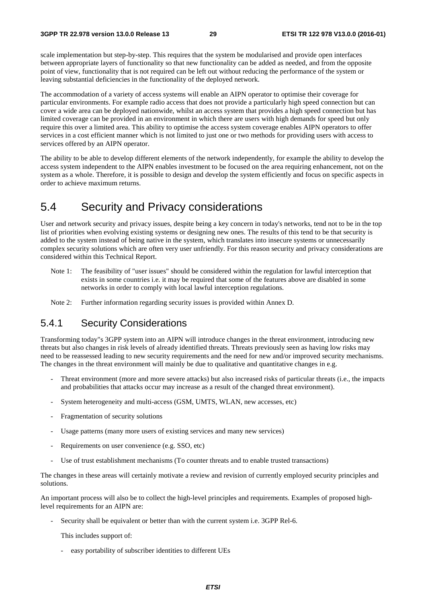scale implementation but step-by-step. This requires that the system be modularised and provide open interfaces between appropriate layers of functionality so that new functionality can be added as needed, and from the opposite point of view, functionality that is not required can be left out without reducing the performance of the system or leaving substantial deficiencies in the functionality of the deployed network.

The accommodation of a variety of access systems will enable an AIPN operator to optimise their coverage for particular environments. For example radio access that does not provide a particularly high speed connection but can cover a wide area can be deployed nationwide, whilst an access system that provides a high speed connection but has limited coverage can be provided in an environment in which there are users with high demands for speed but only require this over a limited area. This ability to optimise the access system coverage enables AIPN operators to offer services in a cost efficient manner which is not limited to just one or two methods for providing users with access to services offered by an AIPN operator.

The ability to be able to develop different elements of the network independently, for example the ability to develop the access system independent to the AIPN enables investment to be focused on the area requiring enhancement, not on the system as a whole. Therefore, it is possible to design and develop the system efficiently and focus on specific aspects in order to achieve maximum returns.

## 5.4 Security and Privacy considerations

User and network security and privacy issues, despite being a key concern in today's networks, tend not to be in the top list of priorities when evolving existing systems or designing new ones. The results of this tend to be that security is added to the system instead of being native in the system, which translates into insecure systems or unnecessarily complex security solutions which are often very user unfriendly. For this reason security and privacy considerations are considered within this Technical Report.

- Note 1: The feasibility of "user issues" should be considered within the regulation for lawful interception that exists in some countries i.e. it may be required that some of the features above are disabled in some networks in order to comply with local lawful interception regulations.
- Note 2: Further information regarding security issues is provided within Annex D.

### 5.4.1 Security Considerations

Transforming today"s 3GPP system into an AIPN will introduce changes in the threat environment, introducing new threats but also changes in risk levels of already identified threats. Threats previously seen as having low risks may need to be reassessed leading to new security requirements and the need for new and/or improved security mechanisms. The changes in the threat environment will mainly be due to qualitative and quantitative changes in e.g.

- Threat environment (more and more severe attacks) but also increased risks of particular threats (i.e., the impacts and probabilities that attacks occur may increase as a result of the changed threat environment).
- System heterogeneity and multi-access (GSM, UMTS, WLAN, new accesses, etc)
- Fragmentation of security solutions
- Usage patterns (many more users of existing services and many new services)
- Requirements on user convenience (e.g. SSO, etc)
- Use of trust establishment mechanisms (To counter threats and to enable trusted transactions)

The changes in these areas will certainly motivate a review and revision of currently employed security principles and solutions.

An important process will also be to collect the high-level principles and requirements. Examples of proposed highlevel requirements for an AIPN are:

Security shall be equivalent or better than with the current system i.e. 3GPP Rel-6.

This includes support of:

- easy portability of subscriber identities to different UEs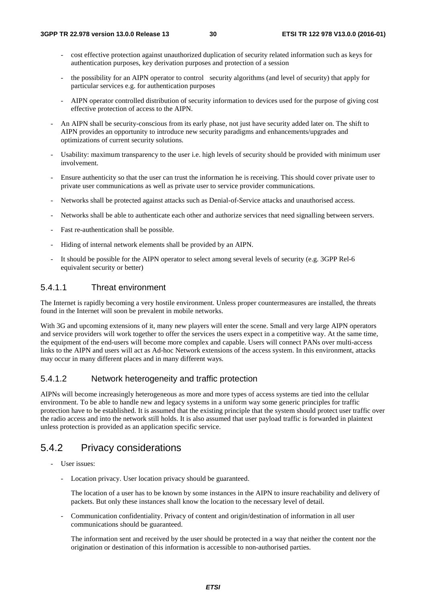- cost effective protection against unauthorized duplication of security related information such as keys for authentication purposes, key derivation purposes and protection of a session
- the possibility for an AIPN operator to control security algorithms (and level of security) that apply for particular services e.g. for authentication purposes
- AIPN operator controlled distribution of security information to devices used for the purpose of giving cost effective protection of access to the AIPN.
- An AIPN shall be security-conscious from its early phase, not just have security added later on. The shift to AIPN provides an opportunity to introduce new security paradigms and enhancements/upgrades and optimizations of current security solutions.
- Usability: maximum transparency to the user i.e. high levels of security should be provided with minimum user involvement.
- Ensure authenticity so that the user can trust the information he is receiving. This should cover private user to private user communications as well as private user to service provider communications.
- Networks shall be protected against attacks such as Denial-of-Service attacks and unauthorised access.
- Networks shall be able to authenticate each other and authorize services that need signalling between servers.
- Fast re-authentication shall be possible.
- Hiding of internal network elements shall be provided by an AIPN.
- It should be possible for the AIPN operator to select among several levels of security (e.g. 3GPP Rel-6 equivalent security or better)

### 5.4.1.1 Threat environment

The Internet is rapidly becoming a very hostile environment. Unless proper countermeasures are installed, the threats found in the Internet will soon be prevalent in mobile networks.

With 3G and upcoming extensions of it, many new players will enter the scene. Small and very large AIPN operators and service providers will work together to offer the services the users expect in a competitive way. At the same time, the equipment of the end-users will become more complex and capable. Users will connect PANs over multi-access links to the AIPN and users will act as Ad-hoc Network extensions of the access system. In this environment, attacks may occur in many different places and in many different ways.

### 5.4.1.2 Network heterogeneity and traffic protection

AIPNs will become increasingly heterogeneous as more and more types of access systems are tied into the cellular environment. To be able to handle new and legacy systems in a uniform way some generic principles for traffic protection have to be established. It is assumed that the existing principle that the system should protect user traffic over the radio access and into the network still holds. It is also assumed that user payload traffic is forwarded in plaintext unless protection is provided as an application specific service.

## 5.4.2 Privacy considerations

- User issues:
	- Location privacy. User location privacy should be guaranteed.

 The location of a user has to be known by some instances in the AIPN to insure reachability and delivery of packets. But only these instances shall know the location to the necessary level of detail.

- Communication confidentiality. Privacy of content and origin/destination of information in all user communications should be guaranteed.

 The information sent and received by the user should be protected in a way that neither the content nor the origination or destination of this information is accessible to non-authorised parties.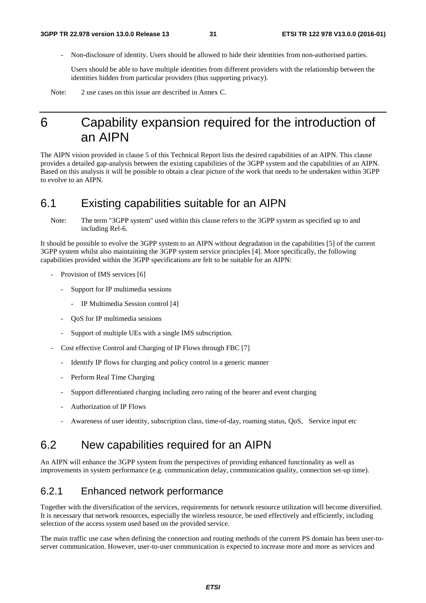- Non-disclosure of identity. Users should be allowed to hide their identities from non-authorised parties.

 Users should be able to have multiple identities from different providers with the relationship between the identities hidden from particular providers (thus supporting privacy).

Note: 2 use cases on this issue are described in Annex C.

## 6 Capability expansion required for the introduction of an AIPN

The AIPN vision provided in clause 5 of this Technical Report lists the desired capabilities of an AIPN. This clause provides a detailed gap-analysis between the existing capabilities of the 3GPP system and the capabilities of an AIPN. Based on this analysis it will be possible to obtain a clear picture of the work that needs to be undertaken within 3GPP to evolve to an AIPN.

## 6.1 Existing capabilities suitable for an AIPN

Note: The term "3GPP system" used within this clause refers to the 3GPP system as specified up to and including Rel-6.

It should be possible to evolve the 3GPP system to an AIPN without degradation in the capabilities [5] of the current 3GPP system whilst also maintaining the 3GPP system service principles [4]. More specifically, the following capabilities provided within the 3GPP specifications are felt to be suitable for an AIPN:

- Provision of IMS services [6]
	- Support for IP multimedia sessions
		- IP Multimedia Session control [4]
	- QoS for IP multimedia sessions
	- Support of multiple UEs with a single IMS subscription.
- Cost effective Control and Charging of IP Flows through FBC [7]
	- Identify IP flows for charging and policy control in a generic manner
	- Perform Real Time Charging
	- Support differentiated charging including zero rating of the bearer and event charging
	- Authorization of IP Flows
	- Awareness of user identity, subscription class, time-of-day, roaming status, QoS, Service input etc

## 6.2 New capabilities required for an AIPN

An AIPN will enhance the 3GPP system from the perspectives of providing enhanced functionality as well as improvements in system performance (e.g. communication delay, communication quality, connection set-up time).

### 6.2.1 Enhanced network performance

Together with the diversification of the services, requirements for network resource utilization will become diversified. It is necessary that network resources, especially the wireless resource, be used effectively and efficiently, including selection of the access system used based on the provided service.

The main traffic use case when defining the connection and routing methods of the current PS domain has been user-toserver communication. However, user-to-user communication is expected to increase more and more as services and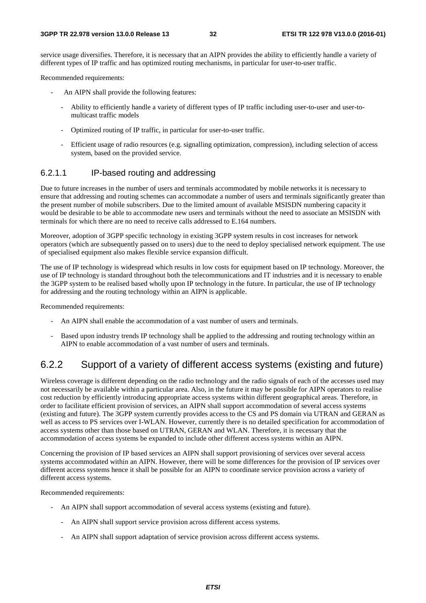service usage diversifies. Therefore, it is necessary that an AIPN provides the ability to efficiently handle a variety of different types of IP traffic and has optimized routing mechanisms, in particular for user-to-user traffic.

Recommended requirements:

- An AIPN shall provide the following features:
	- Ability to efficiently handle a variety of different types of IP traffic including user-to-user and user-tomulticast traffic models
	- Optimized routing of IP traffic, in particular for user-to-user traffic.
	- Efficient usage of radio resources (e.g. signalling optimization, compression), including selection of access system, based on the provided service.

#### 6.2.1.1 IP-based routing and addressing

Due to future increases in the number of users and terminals accommodated by mobile networks it is necessary to ensure that addressing and routing schemes can accommodate a number of users and terminals significantly greater than the present number of mobile subscribers. Due to the limited amount of available MSISDN numbering capacity it would be desirable to be able to accommodate new users and terminals without the need to associate an MSISDN with terminals for which there are no need to receive calls addressed to E.164 numbers.

Moreover, adoption of 3GPP specific technology in existing 3GPP system results in cost increases for network operators (which are subsequently passed on to users) due to the need to deploy specialised network equipment. The use of specialised equipment also makes flexible service expansion difficult.

The use of IP technology is widespread which results in low costs for equipment based on IP technology. Moreover, the use of IP technology is standard throughout both the telecommunications and IT industries and it is necessary to enable the 3GPP system to be realised based wholly upon IP technology in the future. In particular, the use of IP technology for addressing and the routing technology within an AIPN is applicable.

Recommended requirements:

- An AIPN shall enable the accommodation of a vast number of users and terminals.
- Based upon industry trends IP technology shall be applied to the addressing and routing technology within an AIPN to enable accommodation of a vast number of users and terminals.

### 6.2.2 Support of a variety of different access systems (existing and future)

Wireless coverage is different depending on the radio technology and the radio signals of each of the accesses used may not necessarily be available within a particular area. Also, in the future it may be possible for AIPN operators to realise cost reduction by efficiently introducing appropriate access systems within different geographical areas. Therefore, in order to facilitate efficient provision of services, an AIPN shall support accommodation of several access systems (existing and future). The 3GPP system currently provides access to the CS and PS domain via UTRAN and GERAN as well as access to PS services over I-WLAN. However, currently there is no detailed specification for accommodation of access systems other than those based on UTRAN, GERAN and WLAN. Therefore, it is necessary that the accommodation of access systems be expanded to include other different access systems within an AIPN.

Concerning the provision of IP based services an AIPN shall support provisioning of services over several access systems accommodated within an AIPN. However, there will be some differences for the provision of IP services over different access systems hence it shall be possible for an AIPN to coordinate service provision across a variety of different access systems.

Recommended requirements:

- An AIPN shall support accommodation of several access systems (existing and future).
	- An AIPN shall support service provision across different access systems.
	- An AIPN shall support adaptation of service provision across different access systems.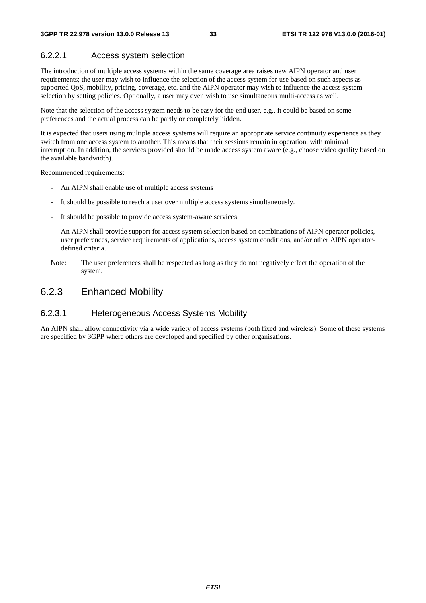#### 6.2.2.1 Access system selection

The introduction of multiple access systems within the same coverage area raises new AIPN operator and user requirements; the user may wish to influence the selection of the access system for use based on such aspects as supported QoS, mobility, pricing, coverage, etc. and the AIPN operator may wish to influence the access system selection by setting policies. Optionally, a user may even wish to use simultaneous multi-access as well.

Note that the selection of the access system needs to be easy for the end user, e.g., it could be based on some preferences and the actual process can be partly or completely hidden.

It is expected that users using multiple access systems will require an appropriate service continuity experience as they switch from one access system to another. This means that their sessions remain in operation, with minimal interruption. In addition, the services provided should be made access system aware (e.g., choose video quality based on the available bandwidth).

Recommended requirements:

- An AIPN shall enable use of multiple access systems
- It should be possible to reach a user over multiple access systems simultaneously.
- It should be possible to provide access system-aware services.
- An AIPN shall provide support for access system selection based on combinations of AIPN operator policies, user preferences, service requirements of applications, access system conditions, and/or other AIPN operatordefined criteria.
- Note: The user preferences shall be respected as long as they do not negatively effect the operation of the system.

### 6.2.3 Enhanced Mobility

#### 6.2.3.1 Heterogeneous Access Systems Mobility

An AIPN shall allow connectivity via a wide variety of access systems (both fixed and wireless). Some of these systems are specified by 3GPP where others are developed and specified by other organisations.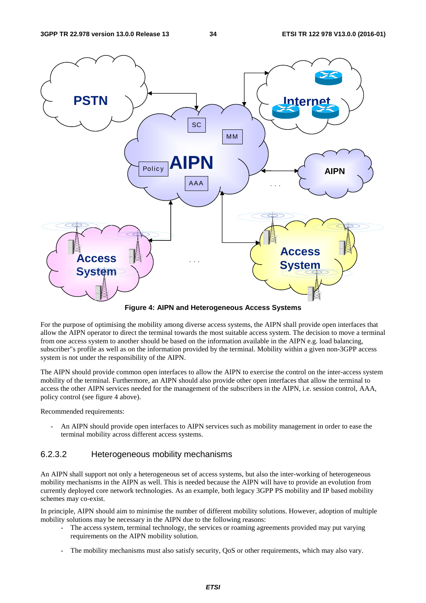

**Figure 4: AIPN and Heterogeneous Access Systems** 

For the purpose of optimising the mobility among diverse access systems, the AIPN shall provide open interfaces that allow the AIPN operator to direct the terminal towards the most suitable access system. The decision to move a terminal from one access system to another should be based on the information available in the AIPN e.g. load balancing, subscriber"s profile as well as on the information provided by the terminal. Mobility within a given non-3GPP access system is not under the responsibility of the AIPN.

The AIPN should provide common open interfaces to allow the AIPN to exercise the control on the inter-access system mobility of the terminal. Furthermore, an AIPN should also provide other open interfaces that allow the terminal to access the other AIPN services needed for the management of the subscribers in the AIPN, i.e. session control, AAA, policy control (see figure 4 above).

Recommended requirements:

An AIPN should provide open interfaces to AIPN services such as mobility management in order to ease the terminal mobility across different access systems.

#### 6.2.3.2 Heterogeneous mobility mechanisms

An AIPN shall support not only a heterogeneous set of access systems, but also the inter-working of heterogeneous mobility mechanisms in the AIPN as well. This is needed because the AIPN will have to provide an evolution from currently deployed core network technologies. As an example, both legacy 3GPP PS mobility and IP based mobility schemes may co-exist.

In principle, AIPN should aim to minimise the number of different mobility solutions. However, adoption of multiple mobility solutions may be necessary in the AIPN due to the following reasons:

- The access system, terminal technology, the services or roaming agreements provided may put varying requirements on the AIPN mobility solution.
- The mobility mechanisms must also satisfy security, QoS or other requirements, which may also vary.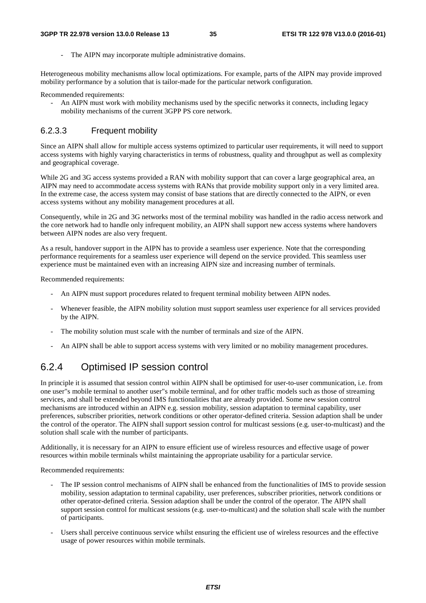The AIPN may incorporate multiple administrative domains.

Heterogeneous mobility mechanisms allow local optimizations. For example, parts of the AIPN may provide improved mobility performance by a solution that is tailor-made for the particular network configuration.

Recommended requirements:

- An AIPN must work with mobility mechanisms used by the specific networks it connects, including legacy mobility mechanisms of the current 3GPP PS core network.

#### 6.2.3.3 Frequent mobility

Since an AIPN shall allow for multiple access systems optimized to particular user requirements, it will need to support access systems with highly varying characteristics in terms of robustness, quality and throughput as well as complexity and geographical coverage.

While 2G and 3G access systems provided a RAN with mobility support that can cover a large geographical area, an AIPN may need to accommodate access systems with RANs that provide mobility support only in a very limited area. In the extreme case, the access system may consist of base stations that are directly connected to the AIPN, or even access systems without any mobility management procedures at all.

Consequently, while in 2G and 3G networks most of the terminal mobility was handled in the radio access network and the core network had to handle only infrequent mobility, an AIPN shall support new access systems where handovers between AIPN nodes are also very frequent.

As a result, handover support in the AIPN has to provide a seamless user experience. Note that the corresponding performance requirements for a seamless user experience will depend on the service provided. This seamless user experience must be maintained even with an increasing AIPN size and increasing number of terminals.

Recommended requirements:

- An AIPN must support procedures related to frequent terminal mobility between AIPN nodes.
- Whenever feasible, the AIPN mobility solution must support seamless user experience for all services provided by the AIPN.
- The mobility solution must scale with the number of terminals and size of the AIPN.
- An AIPN shall be able to support access systems with very limited or no mobility management procedures.

### 6.2.4 Optimised IP session control

In principle it is assumed that session control within AIPN shall be optimised for user-to-user communication, i.e. from one user"s mobile terminal to another user"s mobile terminal, and for other traffic models such as those of streaming services, and shall be extended beyond IMS functionalities that are already provided. Some new session control mechanisms are introduced within an AIPN e.g. session mobility, session adaptation to terminal capability, user preferences, subscriber priorities, network conditions or other operator-defined criteria. Session adaption shall be under the control of the operator. The AIPN shall support session control for multicast sessions (e.g. user-to-multicast) and the solution shall scale with the number of participants.

Additionally, it is necessary for an AIPN to ensure efficient use of wireless resources and effective usage of power resources within mobile terminals whilst maintaining the appropriate usability for a particular service.

Recommended requirements:

- The IP session control mechanisms of AIPN shall be enhanced from the functionalities of IMS to provide session mobility, session adaptation to terminal capability, user preferences, subscriber priorities, network conditions or other operator-defined criteria. Session adaption shall be under the control of the operator. The AIPN shall support session control for multicast sessions (e.g. user-to-multicast) and the solution shall scale with the number of participants.
- Users shall perceive continuous service whilst ensuring the efficient use of wireless resources and the effective usage of power resources within mobile terminals.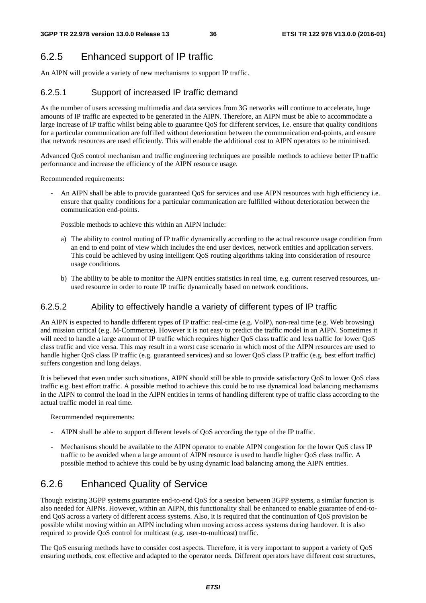## 6.2.5 Enhanced support of IP traffic

An AIPN will provide a variety of new mechanisms to support IP traffic.

### 6.2.5.1 Support of increased IP traffic demand

As the number of users accessing multimedia and data services from 3G networks will continue to accelerate, huge amounts of IP traffic are expected to be generated in the AIPN. Therefore, an AIPN must be able to accommodate a large increase of IP traffic whilst being able to guarantee QoS for different services, i.e. ensure that quality conditions for a particular communication are fulfilled without deterioration between the communication end-points, and ensure that network resources are used efficiently. This will enable the additional cost to AIPN operators to be minimised.

Advanced QoS control mechanism and traffic engineering techniques are possible methods to achieve better IP traffic performance and increase the efficiency of the AIPN resource usage.

Recommended requirements:

An AIPN shall be able to provide guaranteed OoS for services and use AIPN resources with high efficiency i.e. ensure that quality conditions for a particular communication are fulfilled without deterioration between the communication end-points.

Possible methods to achieve this within an AIPN include:

- a) The ability to control routing of IP traffic dynamically according to the actual resource usage condition from an end to end point of view which includes the end user devices, network entities and application servers. This could be achieved by using intelligent QoS routing algorithms taking into consideration of resource usage conditions.
- b) The ability to be able to monitor the AIPN entities statistics in real time, e.g. current reserved resources, unused resource in order to route IP traffic dynamically based on network conditions.

#### 6.2.5.2 Ability to effectively handle a variety of different types of IP traffic

An AIPN is expected to handle different types of IP traffic: real-time (e.g. VoIP), non-real time (e.g. Web browsing) and mission critical (e.g. M-Commerce). However it is not easy to predict the traffic model in an AIPN. Sometimes it will need to handle a large amount of IP traffic which requires higher QoS class traffic and less traffic for lower QoS class traffic and vice versa. This may result in a worst case scenario in which most of the AIPN resources are used to handle higher QoS class IP traffic (e.g. guaranteed services) and so lower QoS class IP traffic (e.g. best effort traffic) suffers congestion and long delays.

It is believed that even under such situations, AIPN should still be able to provide satisfactory QoS to lower QoS class traffic e.g. best effort traffic. A possible method to achieve this could be to use dynamical load balancing mechanisms in the AIPN to control the load in the AIPN entities in terms of handling different type of traffic class according to the actual traffic model in real time.

Recommended requirements:

- AIPN shall be able to support different levels of QoS according the type of the IP traffic.
- Mechanisms should be available to the AIPN operator to enable AIPN congestion for the lower QoS class IP traffic to be avoided when a large amount of AIPN resource is used to handle higher QoS class traffic. A possible method to achieve this could be by using dynamic load balancing among the AIPN entities.

### 6.2.6 Enhanced Quality of Service

Though existing 3GPP systems guarantee end-to-end QoS for a session between 3GPP systems, a similar function is also needed for AIPNs. However, within an AIPN, this functionality shall be enhanced to enable guarantee of end-toend QoS across a variety of different access systems. Also, it is required that the continuation of QoS provision be possible whilst moving within an AIPN including when moving across access systems during handover. It is also required to provide QoS control for multicast (e.g. user-to-multicast) traffic.

The QoS ensuring methods have to consider cost aspects. Therefore, it is very important to support a variety of QoS ensuring methods, cost effective and adapted to the operator needs. Different operators have different cost structures,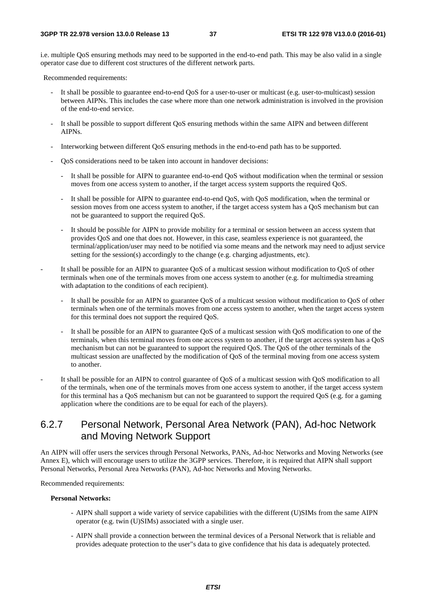i.e. multiple QoS ensuring methods may need to be supported in the end-to-end path. This may be also valid in a single operator case due to different cost structures of the different network parts.

Recommended requirements:

- It shall be possible to guarantee end-to-end QoS for a user-to-user or multicast (e.g. user-to-multicast) session between AIPNs. This includes the case where more than one network administration is involved in the provision of the end-to-end service.
- It shall be possible to support different QoS ensuring methods within the same AIPN and between different AIPNs.
- Interworking between different QoS ensuring methods in the end-to-end path has to be supported.
- QoS considerations need to be taken into account in handover decisions:
	- It shall be possible for AIPN to guarantee end-to-end QoS without modification when the terminal or session moves from one access system to another, if the target access system supports the required QoS.
	- It shall be possible for AIPN to guarantee end-to-end QoS, with QoS modification, when the terminal or session moves from one access system to another, if the target access system has a QoS mechanism but can not be guaranteed to support the required QoS.
	- It should be possible for AIPN to provide mobility for a terminal or session between an access system that provides QoS and one that does not. However, in this case, seamless experience is not guaranteed, the terminal/application/user may need to be notified via some means and the network may need to adjust service setting for the session(s) accordingly to the change (e.g. charging adjustments, etc).
- It shall be possible for an AIPN to guarantee QoS of a multicast session without modification to QoS of other terminals when one of the terminals moves from one access system to another (e.g. for multimedia streaming with adaptation to the conditions of each recipient).
	- It shall be possible for an AIPN to guarantee QoS of a multicast session without modification to QoS of other terminals when one of the terminals moves from one access system to another, when the target access system for this terminal does not support the required QoS.
	- It shall be possible for an AIPN to guarantee OoS of a multicast session with OoS modification to one of the terminals, when this terminal moves from one access system to another, if the target access system has a QoS mechanism but can not be guaranteed to support the required QoS. The QoS of the other terminals of the multicast session are unaffected by the modification of QoS of the terminal moving from one access system to another.
- It shall be possible for an AIPN to control guarantee of QoS of a multicast session with QoS modification to all of the terminals, when one of the terminals moves from one access system to another, if the target access system for this terminal has a QoS mechanism but can not be guaranteed to support the required QoS (e.g. for a gaming application where the conditions are to be equal for each of the players).

### 6.2.7 Personal Network, Personal Area Network (PAN), Ad-hoc Network and Moving Network Support

An AIPN will offer users the services through Personal Networks, PANs, Ad-hoc Networks and Moving Networks (see Annex E), which will encourage users to utilize the 3GPP services. Therefore, it is required that AIPN shall support Personal Networks, Personal Area Networks (PAN), Ad-hoc Networks and Moving Networks.

Recommended requirements:

#### **Personal Networks:**

- AIPN shall support a wide variety of service capabilities with the different (U)SIMs from the same AIPN operator (e.g. twin (U)SIMs) associated with a single user.
- AIPN shall provide a connection between the terminal devices of a Personal Network that is reliable and provides adequate protection to the user"s data to give confidence that his data is adequately protected.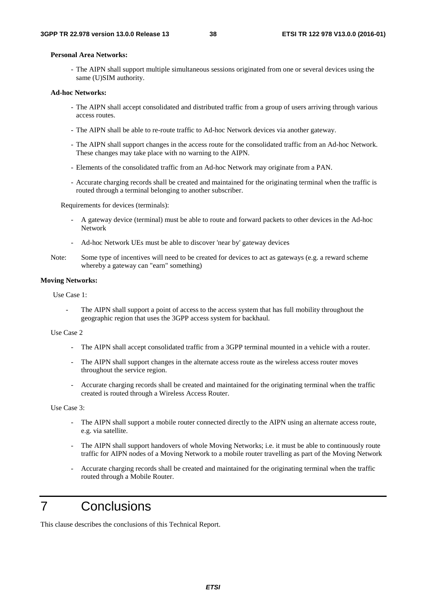#### **Personal Area Networks:**

- The AIPN shall support multiple simultaneous sessions originated from one or several devices using the same (U)SIM authority.

#### **Ad-hoc Networks:**

- The AIPN shall accept consolidated and distributed traffic from a group of users arriving through various access routes.
- The AIPN shall be able to re-route traffic to Ad-hoc Network devices via another gateway.
- The AIPN shall support changes in the access route for the consolidated traffic from an Ad-hoc Network. These changes may take place with no warning to the AIPN.
- Elements of the consolidated traffic from an Ad-hoc Network may originate from a PAN.
- Accurate charging records shall be created and maintained for the originating terminal when the traffic is routed through a terminal belonging to another subscriber.

Requirements for devices (terminals):

- A gateway device (terminal) must be able to route and forward packets to other devices in the Ad-hoc Network
- Ad-hoc Network UEs must be able to discover 'near by' gateway devices
- Note: Some type of incentives will need to be created for devices to act as gateways (e.g. a reward scheme whereby a gateway can "earn" something)

#### **Moving Networks:**

Use Case 1:

The AIPN shall support a point of access to the access system that has full mobility throughout the geographic region that uses the 3GPP access system for backhaul.

#### Use Case 2

- The AIPN shall accept consolidated traffic from a 3GPP terminal mounted in a vehicle with a router.
- The AIPN shall support changes in the alternate access route as the wireless access router moves throughout the service region.
- Accurate charging records shall be created and maintained for the originating terminal when the traffic created is routed through a Wireless Access Router.

Use Case 3:

- The AIPN shall support a mobile router connected directly to the AIPN using an alternate access route, e.g. via satellite.
- The AIPN shall support handovers of whole Moving Networks; i.e. it must be able to continuously route traffic for AIPN nodes of a Moving Network to a mobile router travelling as part of the Moving Network
- Accurate charging records shall be created and maintained for the originating terminal when the traffic routed through a Mobile Router.

## 7 Conclusions

This clause describes the conclusions of this Technical Report.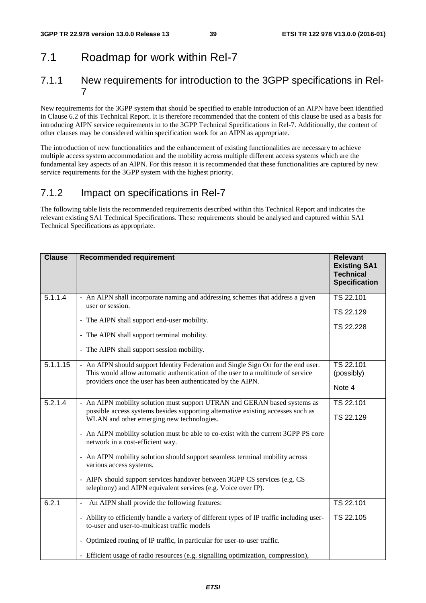## 7.1 Roadmap for work within Rel-7

### 7.1.1 New requirements for introduction to the 3GPP specifications in Rel-7

New requirements for the 3GPP system that should be specified to enable introduction of an AIPN have been identified in Clause 6.2 of this Technical Report. It is therefore recommended that the content of this clause be used as a basis for introducing AIPN service requirements in to the 3GPP Technical Specifications in Rel-7. Additionally, the content of other clauses may be considered within specification work for an AIPN as appropriate.

The introduction of new functionalities and the enhancement of existing functionalities are necessary to achieve multiple access system accommodation and the mobility across multiple different access systems which are the fundamental key aspects of an AIPN. For this reason it is recommended that these functionalities are captured by new service requirements for the 3GPP system with the highest priority.

## 7.1.2 Impact on specifications in Rel-7

The following table lists the recommended requirements described within this Technical Report and indicates the relevant existing SA1 Technical Specifications. These requirements should be analysed and captured within SA1 Technical Specifications as appropriate.

| <b>Clause</b> | <b>Recommended requirement</b>                                                                                                                                                                                                                                                                                                                                                                                                                                                                                                                                                                | <b>Relevant</b><br><b>Existing SA1</b><br><b>Technical</b><br><b>Specification</b> |
|---------------|-----------------------------------------------------------------------------------------------------------------------------------------------------------------------------------------------------------------------------------------------------------------------------------------------------------------------------------------------------------------------------------------------------------------------------------------------------------------------------------------------------------------------------------------------------------------------------------------------|------------------------------------------------------------------------------------|
| 5.1.1.4       | - An AIPN shall incorporate naming and addressing schemes that address a given<br>user or session.<br>- The AIPN shall support end-user mobility.<br>- The AIPN shall support terminal mobility.<br>- The AIPN shall support session mobility.                                                                                                                                                                                                                                                                                                                                                | TS 22.101<br>TS 22.129<br>TS 22.228                                                |
| 5.1.1.15      | - An AIPN should support Identity Federation and Single Sign On for the end user.<br>This would allow automatic authentication of the user to a multitude of service<br>providers once the user has been authenticated by the AIPN.                                                                                                                                                                                                                                                                                                                                                           | TS 22.101<br>(possibly)<br>Note 4                                                  |
| 5.2.1.4       | - An AIPN mobility solution must support UTRAN and GERAN based systems as<br>possible access systems besides supporting alternative existing accesses such as<br>WLAN and other emerging new technologies.<br>- An AIPN mobility solution must be able to co-exist with the current 3GPP PS core<br>network in a cost-efficient way.<br>- An AIPN mobility solution should support seamless terminal mobility across<br>various access systems.<br>- AIPN should support services handover between 3GPP CS services (e.g. CS<br>telephony) and AIPN equivalent services (e.g. Voice over IP). | TS 22.101<br>TS 22.129                                                             |
| 6.2.1         | An AIPN shall provide the following features:<br>- Ability to efficiently handle a variety of different types of IP traffic including user-<br>to-user and user-to-multicast traffic models<br>- Optimized routing of IP traffic, in particular for user-to-user traffic.<br>- Efficient usage of radio resources (e.g. signalling optimization, compression),                                                                                                                                                                                                                                | TS 22.101<br>TS 22.105                                                             |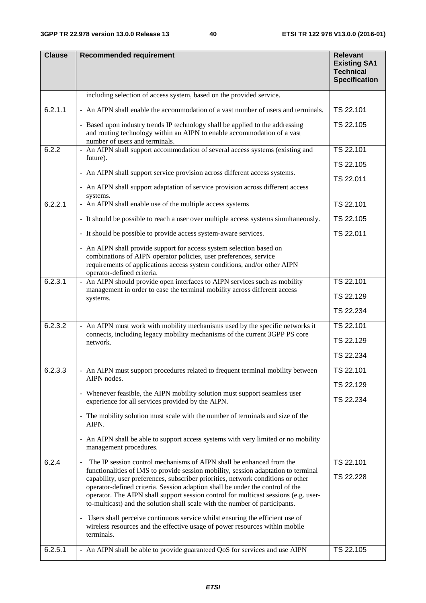| <b>Clause</b> | <b>Recommended requirement</b>                                                                                                                                                                                                                                                                                                                                                                                                | <b>Relevant</b><br><b>Existing SA1</b><br><b>Technical</b><br><b>Specification</b> |
|---------------|-------------------------------------------------------------------------------------------------------------------------------------------------------------------------------------------------------------------------------------------------------------------------------------------------------------------------------------------------------------------------------------------------------------------------------|------------------------------------------------------------------------------------|
|               | including selection of access system, based on the provided service.                                                                                                                                                                                                                                                                                                                                                          |                                                                                    |
| 6.2.1.1       | - An AIPN shall enable the accommodation of a vast number of users and terminals.                                                                                                                                                                                                                                                                                                                                             | TS 22.101                                                                          |
|               | - Based upon industry trends IP technology shall be applied to the addressing<br>and routing technology within an AIPN to enable accommodation of a vast<br>number of users and terminals.                                                                                                                                                                                                                                    | TS 22.105                                                                          |
| 6.2.2         | - An AIPN shall support accommodation of several access systems (existing and                                                                                                                                                                                                                                                                                                                                                 | TS 22.101                                                                          |
|               | future).                                                                                                                                                                                                                                                                                                                                                                                                                      | TS 22.105                                                                          |
|               | - An AIPN shall support service provision across different access systems.                                                                                                                                                                                                                                                                                                                                                    | TS 22.011                                                                          |
|               | - An AIPN shall support adaptation of service provision across different access<br>systems.                                                                                                                                                                                                                                                                                                                                   |                                                                                    |
| 6.2.2.1       | - An AIPN shall enable use of the multiple access systems                                                                                                                                                                                                                                                                                                                                                                     | TS 22.101                                                                          |
|               | - It should be possible to reach a user over multiple access systems simultaneously.                                                                                                                                                                                                                                                                                                                                          | TS 22.105                                                                          |
|               | - It should be possible to provide access system-aware services.                                                                                                                                                                                                                                                                                                                                                              | TS 22.011                                                                          |
|               | - An AIPN shall provide support for access system selection based on<br>combinations of AIPN operator policies, user preferences, service<br>requirements of applications access system conditions, and/or other AIPN<br>operator-defined criteria.                                                                                                                                                                           |                                                                                    |
| 6.2.3.1       | - An AIPN should provide open interfaces to AIPN services such as mobility                                                                                                                                                                                                                                                                                                                                                    | TS 22.101                                                                          |
|               | management in order to ease the terminal mobility across different access<br>systems.                                                                                                                                                                                                                                                                                                                                         | TS 22.129                                                                          |
|               |                                                                                                                                                                                                                                                                                                                                                                                                                               | TS 22.234                                                                          |
| 6.2.3.2       | - An AIPN must work with mobility mechanisms used by the specific networks it                                                                                                                                                                                                                                                                                                                                                 | TS 22.101                                                                          |
|               | connects, including legacy mobility mechanisms of the current 3GPP PS core<br>network.                                                                                                                                                                                                                                                                                                                                        | TS 22.129                                                                          |
|               |                                                                                                                                                                                                                                                                                                                                                                                                                               | TS 22.234                                                                          |
| 6.2.3.3       | - An AIPN must support procedures related to frequent terminal mobility between                                                                                                                                                                                                                                                                                                                                               | TS 22.101                                                                          |
|               | AIPN nodes.                                                                                                                                                                                                                                                                                                                                                                                                                   | TS 22.129                                                                          |
|               | - Whenever feasible, the AIPN mobility solution must support seamless user<br>experience for all services provided by the AIPN.                                                                                                                                                                                                                                                                                               | TS 22.234                                                                          |
|               | - The mobility solution must scale with the number of terminals and size of the<br>AIPN.                                                                                                                                                                                                                                                                                                                                      |                                                                                    |
|               | - An AIPN shall be able to support access systems with very limited or no mobility<br>management procedures.                                                                                                                                                                                                                                                                                                                  |                                                                                    |
| 6.2.4         | The IP session control mechanisms of AIPN shall be enhanced from the<br>$\overline{\phantom{a}}$                                                                                                                                                                                                                                                                                                                              | TS 22.101                                                                          |
|               | functionalities of IMS to provide session mobility, session adaptation to terminal<br>capability, user preferences, subscriber priorities, network conditions or other<br>operator-defined criteria. Session adaption shall be under the control of the<br>operator. The AIPN shall support session control for multicast sessions (e.g. user-<br>to-multicast) and the solution shall scale with the number of participants. | TS 22.228                                                                          |
|               | - Users shall perceive continuous service whilst ensuring the efficient use of<br>wireless resources and the effective usage of power resources within mobile<br>terminals.                                                                                                                                                                                                                                                   |                                                                                    |
| 6.2.5.1       | - An AIPN shall be able to provide guaranteed QoS for services and use AIPN                                                                                                                                                                                                                                                                                                                                                   | TS 22.105                                                                          |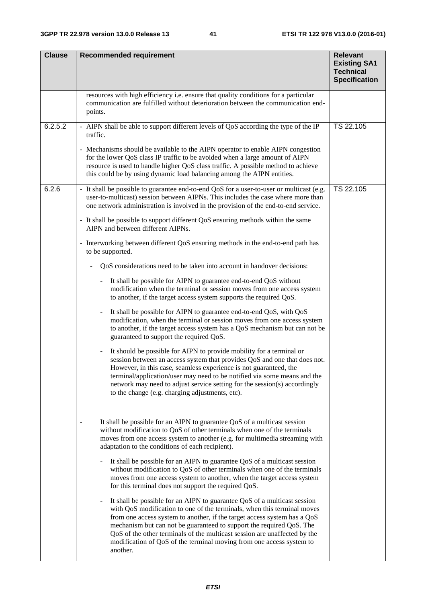| <b>Clause</b> | <b>Recommended requirement</b>                                                                                                                                                                                                                                                                                                                                                                                                                                                                           | <b>Relevant</b><br><b>Existing SA1</b><br><b>Technical</b><br><b>Specification</b> |
|---------------|----------------------------------------------------------------------------------------------------------------------------------------------------------------------------------------------------------------------------------------------------------------------------------------------------------------------------------------------------------------------------------------------------------------------------------------------------------------------------------------------------------|------------------------------------------------------------------------------------|
|               | resources with high efficiency i.e. ensure that quality conditions for a particular<br>communication are fulfilled without deterioration between the communication end-<br>points.                                                                                                                                                                                                                                                                                                                       |                                                                                    |
| 6.2.5.2       | - AIPN shall be able to support different levels of QoS according the type of the IP<br>traffic.                                                                                                                                                                                                                                                                                                                                                                                                         | TS 22.105                                                                          |
|               | - Mechanisms should be available to the AIPN operator to enable AIPN congestion<br>for the lower QoS class IP traffic to be avoided when a large amount of AIPN<br>resource is used to handle higher QoS class traffic. A possible method to achieve<br>this could be by using dynamic load balancing among the AIPN entities.                                                                                                                                                                           |                                                                                    |
| 6.2.6         | - It shall be possible to guarantee end-to-end QoS for a user-to-user or multicast (e.g.<br>user-to-multicast) session between AIPNs. This includes the case where more than<br>one network administration is involved in the provision of the end-to-end service.                                                                                                                                                                                                                                       | TS 22.105                                                                          |
|               | - It shall be possible to support different QoS ensuring methods within the same<br>AIPN and between different AIPNs.                                                                                                                                                                                                                                                                                                                                                                                    |                                                                                    |
|               | - Interworking between different QoS ensuring methods in the end-to-end path has<br>to be supported.                                                                                                                                                                                                                                                                                                                                                                                                     |                                                                                    |
|               | QoS considerations need to be taken into account in handover decisions:                                                                                                                                                                                                                                                                                                                                                                                                                                  |                                                                                    |
|               | It shall be possible for AIPN to guarantee end-to-end QoS without<br>$\blacksquare$<br>modification when the terminal or session moves from one access system<br>to another, if the target access system supports the required QoS.                                                                                                                                                                                                                                                                      |                                                                                    |
|               | It shall be possible for AIPN to guarantee end-to-end QoS, with QoS<br>$\qquad \qquad \blacksquare$<br>modification, when the terminal or session moves from one access system<br>to another, if the target access system has a QoS mechanism but can not be<br>guaranteed to support the required QoS.                                                                                                                                                                                                  |                                                                                    |
|               | It should be possible for AIPN to provide mobility for a terminal or<br>$\overline{\phantom{a}}$<br>session between an access system that provides QoS and one that does not.<br>However, in this case, seamless experience is not guaranteed, the<br>terminal/application/user may need to be notified via some means and the<br>network may need to adjust service setting for the session(s) accordingly<br>to the change (e.g. charging adjustments, etc).                                           |                                                                                    |
|               | It shall be possible for an AIPN to guarantee QoS of a multicast session<br>without modification to QoS of other terminals when one of the terminals<br>moves from one access system to another (e.g. for multimedia streaming with<br>adaptation to the conditions of each recipient).                                                                                                                                                                                                                  |                                                                                    |
|               | It shall be possible for an AIPN to guarantee QoS of a multicast session<br>without modification to QoS of other terminals when one of the terminals<br>moves from one access system to another, when the target access system<br>for this terminal does not support the required QoS.                                                                                                                                                                                                                   |                                                                                    |
|               | It shall be possible for an AIPN to guarantee QoS of a multicast session<br>$\qquad \qquad \blacksquare$<br>with QoS modification to one of the terminals, when this terminal moves<br>from one access system to another, if the target access system has a QoS<br>mechanism but can not be guaranteed to support the required QoS. The<br>QoS of the other terminals of the multicast session are unaffected by the<br>modification of QoS of the terminal moving from one access system to<br>another. |                                                                                    |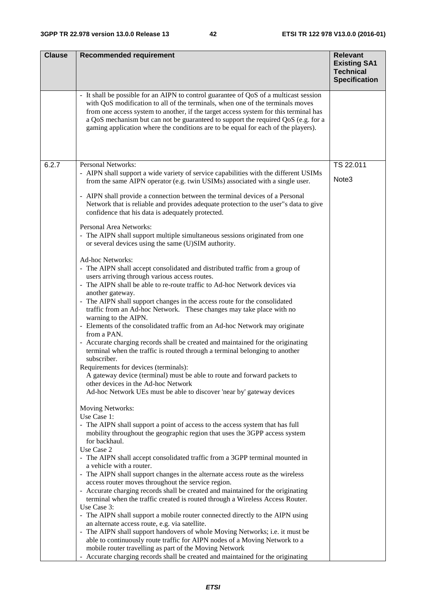| <b>Clause</b> | <b>Recommended requirement</b>                                                                                                                                                                                                                                                                                                                                                                                                            | <b>Relevant</b><br><b>Existing SA1</b><br><b>Technical</b><br><b>Specification</b> |
|---------------|-------------------------------------------------------------------------------------------------------------------------------------------------------------------------------------------------------------------------------------------------------------------------------------------------------------------------------------------------------------------------------------------------------------------------------------------|------------------------------------------------------------------------------------|
|               | - It shall be possible for an AIPN to control guarantee of QoS of a multicast session<br>with QoS modification to all of the terminals, when one of the terminals moves<br>from one access system to another, if the target access system for this terminal has<br>a QoS mechanism but can not be guaranteed to support the required QoS (e.g. for a<br>gaming application where the conditions are to be equal for each of the players). |                                                                                    |
| 6.2.7         | Personal Networks:                                                                                                                                                                                                                                                                                                                                                                                                                        | TS 22.011                                                                          |
|               | - AIPN shall support a wide variety of service capabilities with the different USIMs<br>from the same AIPN operator (e.g. twin USIMs) associated with a single user.                                                                                                                                                                                                                                                                      | Note <sub>3</sub>                                                                  |
|               | - AIPN shall provide a connection between the terminal devices of a Personal<br>Network that is reliable and provides adequate protection to the user"s data to give<br>confidence that his data is adequately protected.                                                                                                                                                                                                                 |                                                                                    |
|               | Personal Area Networks:<br>- The AIPN shall support multiple simultaneous sessions originated from one<br>or several devices using the same (U)SIM authority.                                                                                                                                                                                                                                                                             |                                                                                    |
|               | Ad-hoc Networks:<br>- The AIPN shall accept consolidated and distributed traffic from a group of<br>users arriving through various access routes.<br>- The AIPN shall be able to re-route traffic to Ad-hoc Network devices via<br>another gateway.                                                                                                                                                                                       |                                                                                    |
|               | - The AIPN shall support changes in the access route for the consolidated<br>traffic from an Ad-hoc Network. These changes may take place with no<br>warning to the AIPN.<br>- Elements of the consolidated traffic from an Ad-hoc Network may originate                                                                                                                                                                                  |                                                                                    |
|               | from a PAN.<br>- Accurate charging records shall be created and maintained for the originating<br>terminal when the traffic is routed through a terminal belonging to another                                                                                                                                                                                                                                                             |                                                                                    |
|               | subscriber.<br>Requirements for devices (terminals):<br>A gateway device (terminal) must be able to route and forward packets to<br>other devices in the Ad-hoc Network<br>Ad-hoc Network UEs must be able to discover 'near by' gateway devices                                                                                                                                                                                          |                                                                                    |
|               | Moving Networks:<br>Use Case 1:                                                                                                                                                                                                                                                                                                                                                                                                           |                                                                                    |
|               | - The AIPN shall support a point of access to the access system that has full<br>mobility throughout the geographic region that uses the 3GPP access system<br>for backhaul.                                                                                                                                                                                                                                                              |                                                                                    |
|               | Use Case 2<br>- The AIPN shall accept consolidated traffic from a 3GPP terminal mounted in<br>a vehicle with a router.                                                                                                                                                                                                                                                                                                                    |                                                                                    |
|               | - The AIPN shall support changes in the alternate access route as the wireless                                                                                                                                                                                                                                                                                                                                                            |                                                                                    |
|               | access router moves throughout the service region.<br>- Accurate charging records shall be created and maintained for the originating<br>terminal when the traffic created is routed through a Wireless Access Router.                                                                                                                                                                                                                    |                                                                                    |
|               | Use Case 3:<br>- The AIPN shall support a mobile router connected directly to the AIPN using<br>an alternate access route, e.g. via satellite.                                                                                                                                                                                                                                                                                            |                                                                                    |
|               | - The AIPN shall support handovers of whole Moving Networks; i.e. it must be                                                                                                                                                                                                                                                                                                                                                              |                                                                                    |
|               | able to continuously route traffic for AIPN nodes of a Moving Network to a<br>mobile router travelling as part of the Moving Network                                                                                                                                                                                                                                                                                                      |                                                                                    |
|               | - Accurate charging records shall be created and maintained for the originating                                                                                                                                                                                                                                                                                                                                                           |                                                                                    |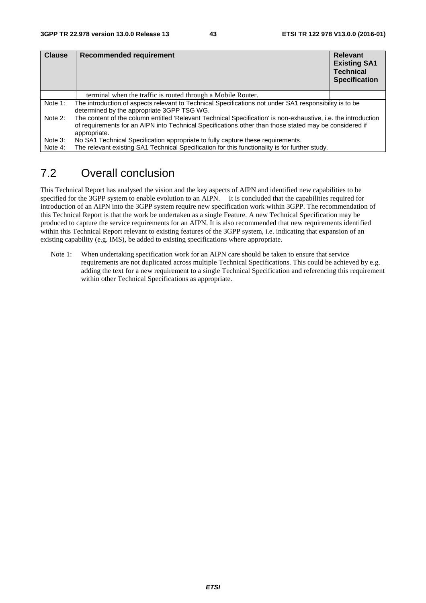| <b>Clause</b> | Recommended requirement                                                                                                                                                                                                                  | <b>Relevant</b><br><b>Existing SA1</b><br><b>Technical</b><br><b>Specification</b> |  |  |  |  |  |
|---------------|------------------------------------------------------------------------------------------------------------------------------------------------------------------------------------------------------------------------------------------|------------------------------------------------------------------------------------|--|--|--|--|--|
|               | terminal when the traffic is routed through a Mobile Router.                                                                                                                                                                             |                                                                                    |  |  |  |  |  |
| Note 1:       | The introduction of aspects relevant to Technical Specifications not under SA1 responsibility is to be<br>determined by the appropriate 3GPP TSG WG.                                                                                     |                                                                                    |  |  |  |  |  |
| Note 2:       | The content of the column entitled 'Relevant Technical Specification' is non-exhaustive, i.e. the introduction<br>of requirements for an AIPN into Technical Specifications other than those stated may be considered if<br>appropriate. |                                                                                    |  |  |  |  |  |
| Note 3:       | No SA1 Technical Specification appropriate to fully capture these requirements.                                                                                                                                                          |                                                                                    |  |  |  |  |  |
| Note 4:       | The relevant existing SA1 Technical Specification for this functionality is for further study.                                                                                                                                           |                                                                                    |  |  |  |  |  |

## 7.2 Overall conclusion

This Technical Report has analysed the vision and the key aspects of AIPN and identified new capabilities to be specified for the 3GPP system to enable evolution to an AIPN. It is concluded that the capabilities required for introduction of an AIPN into the 3GPP system require new specification work within 3GPP. The recommendation of this Technical Report is that the work be undertaken as a single Feature. A new Technical Specification may be produced to capture the service requirements for an AIPN. It is also recommended that new requirements identified within this Technical Report relevant to existing features of the 3GPP system, i.e. indicating that expansion of an existing capability (e.g. IMS), be added to existing specifications where appropriate.

Note 1: When undertaking specification work for an AIPN care should be taken to ensure that service requirements are not duplicated across multiple Technical Specifications. This could be achieved by e.g. adding the text for a new requirement to a single Technical Specification and referencing this requirement within other Technical Specifications as appropriate.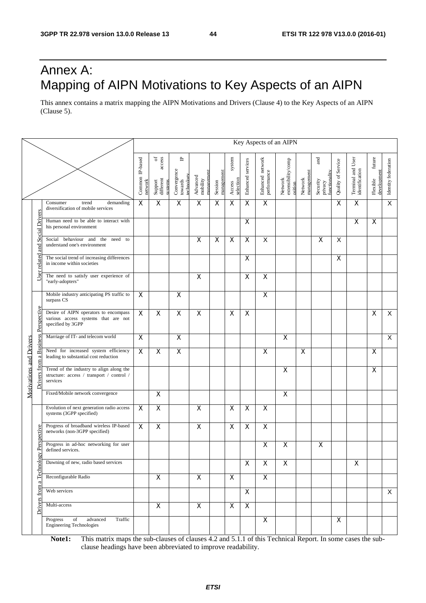## Annex A: Mapping of AIPN Motivations to Key Aspects of an AIPN

This annex contains a matrix mapping the AIPN Motivations and Drivers (Clause 4) to the Key Aspects of an AIPN (Clause 5).

|                                |                             |                                                                                                   |                            |                                                         |                                           |                                   |                       |                               |                           |                                 | Key Aspects of an AIPN                   |                         |                                             |                    |                                     |                                   |                         |
|--------------------------------|-----------------------------|---------------------------------------------------------------------------------------------------|----------------------------|---------------------------------------------------------|-------------------------------------------|-----------------------------------|-----------------------|-------------------------------|---------------------------|---------------------------------|------------------------------------------|-------------------------|---------------------------------------------|--------------------|-------------------------------------|-----------------------------------|-------------------------|
|                                |                             |                                                                                                   | Common IP-based<br>network | access<br>$\rm ^{6}$<br>different<br>Support<br>systems | ٩<br>Convergence<br>towards<br>technology | managemen<br>Advanced<br>mobility | management<br>Session | system<br>selection<br>Access | Enhanced services         | Enhanced network<br>performance | Network<br>extensibility/comp<br>osition | Network<br>management   | and<br>functionality<br>Security<br>privacy | Quality of Service | Terminal and User<br>identification | future<br>development<br>Flexible | Identity federation     |
|                                |                             | Consumer<br>demanding<br>trend<br>diversification of mobile services                              | $\boldsymbol{\mathsf{X}}$  | $\mathsf X$                                             | $\mathsf X$                               | $\overline{\mathsf{x}}$           | X                     | $\mathsf X$                   | X                         | $\overline{\mathsf{x}}$         |                                          |                         |                                             | X                  | X                                   |                                   | $\overline{\mathsf{x}}$ |
|                                | <b>Social Drivers</b>       | Human need to be able to interact with<br>his personal environment                                |                            |                                                         |                                           |                                   |                       |                               | X                         |                                 |                                          |                         |                                             |                    | X                                   | X                                 |                         |
|                                | md                          | Social behaviour and the<br>need to<br>understand one's environment                               |                            |                                                         |                                           | $\mathsf X$                       | X                     | $\mathsf X$                   | $\pmb{\times}$            | X                               |                                          |                         | X                                           | X                  |                                     |                                   |                         |
|                                | related                     | The social trend of increasing differences<br>in income within societies                          |                            |                                                         |                                           |                                   |                       |                               | $\boldsymbol{\mathsf{X}}$ |                                 |                                          |                         |                                             | X                  |                                     |                                   |                         |
|                                | User                        | The need to satisfy user experience of<br>"early-adopters"                                        |                            |                                                         |                                           | X                                 |                       |                               | X                         | $\pmb{\times}$                  |                                          |                         |                                             |                    |                                     |                                   |                         |
|                                |                             | Mobile industry anticipating PS traffic to<br>surpass CS                                          | X                          |                                                         | X                                         |                                   |                       |                               |                           | X                               |                                          |                         |                                             |                    |                                     |                                   |                         |
|                                | <b>Business Perspective</b> | Desire of AIPN operators to encompass<br>various access systems that are not<br>specified by 3GPP | $\overline{\mathsf{x}}$    | $\overline{\mathsf{x}}$                                 | $\overline{\mathsf{x}}$                   | X                                 |                       | X                             | $\mathsf{X}$              |                                 |                                          |                         |                                             |                    |                                     | X                                 | $\overline{X}$          |
|                                |                             | Marriage of IT- and telecom world                                                                 | $\overline{\mathsf{x}}$    |                                                         | $\overline{\mathsf{x}}$                   |                                   |                       |                               |                           |                                 | X                                        |                         |                                             |                    |                                     |                                   | $\overline{X}$          |
| $\mathbf{\sigma}$              |                             | Need for increased system efficiency<br>leading to substantial cost reduction                     | $\overline{\mathsf{x}}$    | $\overline{\mathsf{x}}$                                 | $\overline{X}$                            |                                   |                       |                               |                           | $\overline{\mathsf{x}}$         |                                          | $\overline{\mathsf{x}}$ |                                             |                    |                                     | X                                 |                         |
| <b>Motivations and Drivers</b> | from<br>vers                | Trend of the industry to align along the<br>structure: access / transport / control /<br>services |                            |                                                         |                                           |                                   |                       |                               |                           |                                 | $\boldsymbol{\mathsf{X}}$                |                         |                                             |                    |                                     | X                                 |                         |
|                                |                             | Fixed/Mobile network convergence                                                                  |                            | $\overline{\mathsf{x}}$                                 |                                           |                                   |                       |                               |                           |                                 | $\pmb{\times}$                           |                         |                                             |                    |                                     |                                   |                         |
|                                |                             | Evolution of next generation radio access<br>systems (3GPP specified)                             | $\boldsymbol{\mathsf{X}}$  | X                                                       |                                           | $\mathsf X$                       |                       | $\mathsf X$                   | $\boldsymbol{\mathsf{X}}$ | $\boldsymbol{\mathsf{X}}$       |                                          |                         |                                             |                    |                                     |                                   |                         |
|                                |                             | Progress of broadband wireless IP-based<br>networks (non-3GPP specified)                          | X                          | $\pmb{\times}$                                          |                                           | $\pmb{\times}$                    |                       | X                             | $\pmb{\times}$            | $\pmb{\times}$                  |                                          |                         |                                             |                    |                                     |                                   |                         |
|                                | gy Perspective              | Progress in ad-hoc networking for user<br>defined services.                                       |                            |                                                         |                                           |                                   |                       |                               |                           | $\pmb{\times}$                  | $\pmb{\times}$                           |                         | X                                           |                    |                                     |                                   |                         |
|                                | Technol                     | Dawning of new, radio based services                                                              |                            |                                                         |                                           |                                   |                       |                               | X                         | X                               | X                                        |                         |                                             |                    | X                                   |                                   |                         |
|                                |                             | Reconfigurable Radio                                                                              |                            | $\pmb{\mathsf{X}}$                                      |                                           | $\mathsf{X}$                      |                       | $\mathsf{X}$                  |                           | $\mathsf{X}$                    |                                          |                         |                                             |                    |                                     |                                   |                         |
|                                | from                        | Web services                                                                                      |                            |                                                         |                                           |                                   |                       |                               | $\boldsymbol{\mathsf{X}}$ |                                 |                                          |                         |                                             |                    |                                     |                                   | X                       |
|                                | Drivers                     | Multi-access                                                                                      |                            | $\overline{X}$                                          |                                           | $\overline{\mathsf{x}}$           |                       | $\pmb{\times}$                | $\mathsf{X}$              |                                 |                                          |                         |                                             |                    |                                     |                                   |                         |
|                                |                             | Progress<br>of<br>advanced<br>Traffic<br><b>Engineering Technologies</b>                          |                            |                                                         |                                           |                                   |                       |                               |                           | X                               |                                          |                         |                                             | $\mathsf{X}$       |                                     |                                   |                         |

**Note1:** This matrix maps the sub-clauses of clauses 4.2 and 5.1.1 of this Technical Report. In some cases the subclause headings have been abbreviated to improve readability.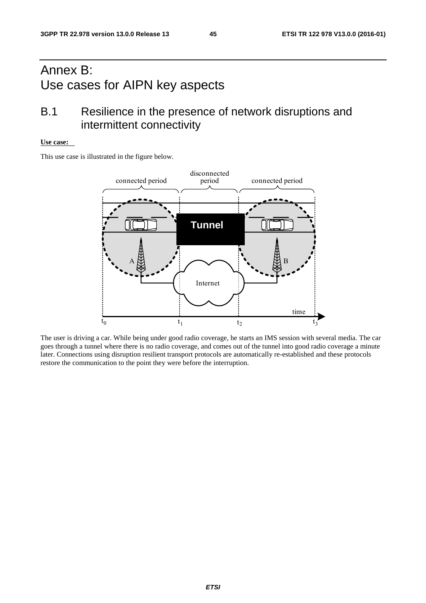## Annex B: Use cases for AIPN key aspects

## B.1 Resilience in the presence of network disruptions and intermittent connectivity

#### **Use case:**

This use case is illustrated in the figure below.



The user is driving a car. While being under good radio coverage, he starts an IMS session with several media. The car goes through a tunnel where there is no radio coverage, and comes out of the tunnel into good radio coverage a minute later. Connections using disruption resilient transport protocols are automatically re-established and these protocols restore the communication to the point they were before the interruption.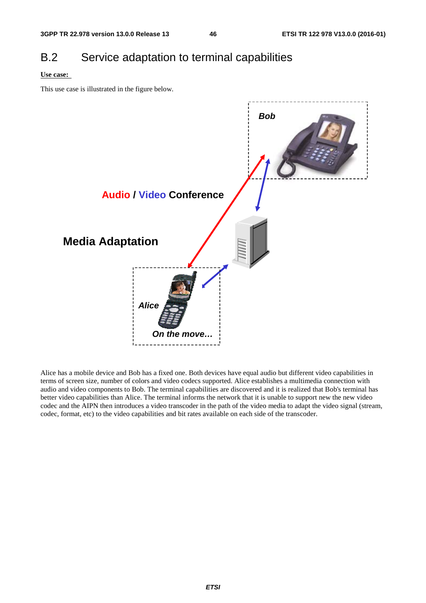## B.2 Service adaptation to terminal capabilities

#### **Use case:**

This use case is illustrated in the figure below.



Alice has a mobile device and Bob has a fixed one. Both devices have equal audio but different video capabilities in terms of screen size, number of colors and video codecs supported. Alice establishes a multimedia connection with audio and video components to Bob. The terminal capabilities are discovered and it is realized that Bob's terminal has better video capabilities than Alice. The terminal informs the network that it is unable to support new the new video codec and the AIPN then introduces a video transcoder in the path of the video media to adapt the video signal (stream, codec, format, etc) to the video capabilities and bit rates available on each side of the transcoder.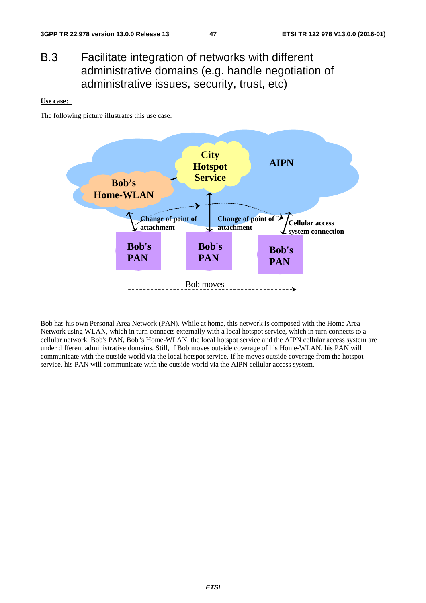## B.3 Facilitate integration of networks with different administrative domains (e.g. handle negotiation of administrative issues, security, trust, etc)

#### **Use case:**

The following picture illustrates this use case.



Bob has his own Personal Area Network (PAN). While at home, this network is composed with the Home Area Network using WLAN, which in turn connects externally with a local hotspot service, which in turn connects to a cellular network. Bob's PAN, Bob"s Home-WLAN, the local hotspot service and the AIPN cellular access system are under different administrative domains. Still, if Bob moves outside coverage of his Home-WLAN, his PAN will communicate with the outside world via the local hotspot service. If he moves outside coverage from the hotspot service, his PAN will communicate with the outside world via the AIPN cellular access system.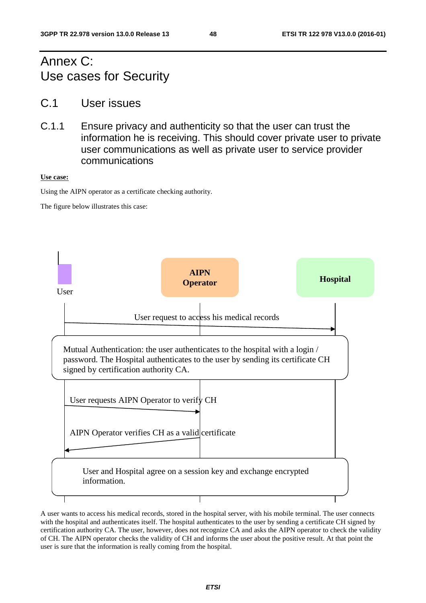## Annex C: Use cases for Security

- C.1 User issues
- C.1.1 Ensure privacy and authenticity so that the user can trust the information he is receiving. This should cover private user to private user communications as well as private user to service provider communications

#### **Use case:**

Using the AIPN operator as a certificate checking authority.

The figure below illustrates this case:



A user wants to access his medical records, stored in the hospital server, with his mobile terminal. The user connects with the hospital and authenticates itself. The hospital authenticates to the user by sending a certificate CH signed by certification authority CA. The user, however, does not recognize CA and asks the AIPN operator to check the validity of CH. The AIPN operator checks the validity of CH and informs the user about the positive result. At that point the user is sure that the information is really coming from the hospital.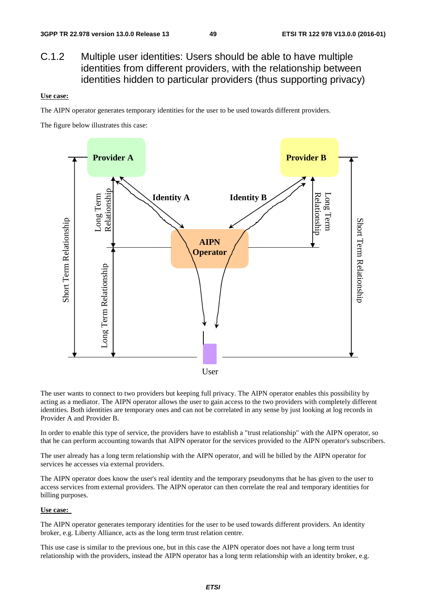### C.1.2 Multiple user identities: Users should be able to have multiple identities from different providers, with the relationship between identities hidden to particular providers (thus supporting privacy)

#### **Use case:**

The AIPN operator generates temporary identities for the user to be used towards different providers.

The figure below illustrates this case:



The user wants to connect to two providers but keeping full privacy. The AIPN operator enables this possibility by acting as a mediator. The AIPN operator allows the user to gain access to the two providers with completely different identities. Both identities are temporary ones and can not be correlated in any sense by just looking at log records in Provider A and Provider B.

In order to enable this type of service, the providers have to establish a "trust relationship" with the AIPN operator, so that he can perform accounting towards that AIPN operator for the services provided to the AIPN operator's subscribers.

The user already has a long term relationship with the AIPN operator, and will be billed by the AIPN operator for services he accesses via external providers.

The AIPN operator does know the user's real identity and the temporary pseudonyms that he has given to the user to access services from external providers. The AIPN operator can then correlate the real and temporary identities for billing purposes.

#### **Use case:**

The AIPN operator generates temporary identities for the user to be used towards different providers. An identity broker, e.g. Liberty Alliance, acts as the long term trust relation centre.

This use case is similar to the previous one, but in this case the AIPN operator does not have a long term trust relationship with the providers, instead the AIPN operator has a long term relationship with an identity broker, e.g.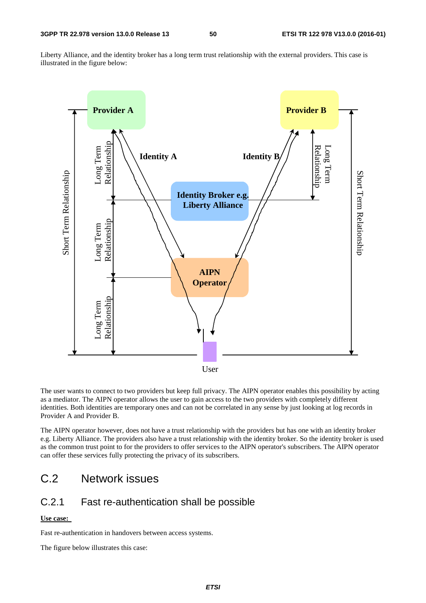Liberty Alliance, and the identity broker has a long term trust relationship with the external providers. This case is illustrated in the figure below:



The user wants to connect to two providers but keep full privacy. The AIPN operator enables this possibility by acting as a mediator. The AIPN operator allows the user to gain access to the two providers with completely different identities. Both identities are temporary ones and can not be correlated in any sense by just looking at log records in Provider A and Provider B.

The AIPN operator however, does not have a trust relationship with the providers but has one with an identity broker e.g. Liberty Alliance. The providers also have a trust relationship with the identity broker. So the identity broker is used as the common trust point to for the providers to offer services to the AIPN operator's subscribers. The AIPN operator can offer these services fully protecting the privacy of its subscribers.

## C.2 Network issues

### C.2.1 Fast re-authentication shall be possible

#### **Use case:**

Fast re-authentication in handovers between access systems.

The figure below illustrates this case: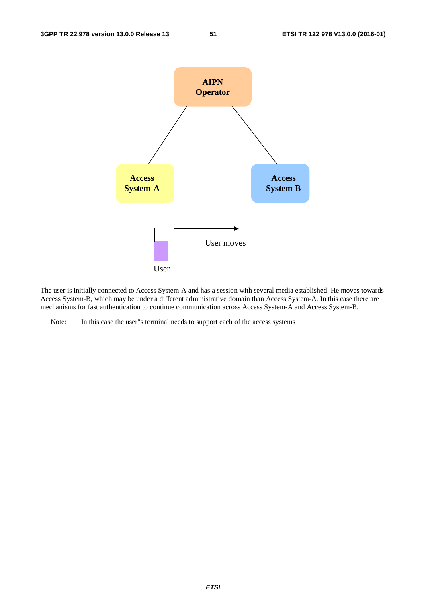

The user is initially connected to Access System-A and has a session with several media established. He moves towards Access System-B, which may be under a different administrative domain than Access System-A. In this case there are mechanisms for fast authentication to continue communication across Access System-A and Access System-B.

Note: In this case the user"s terminal needs to support each of the access systems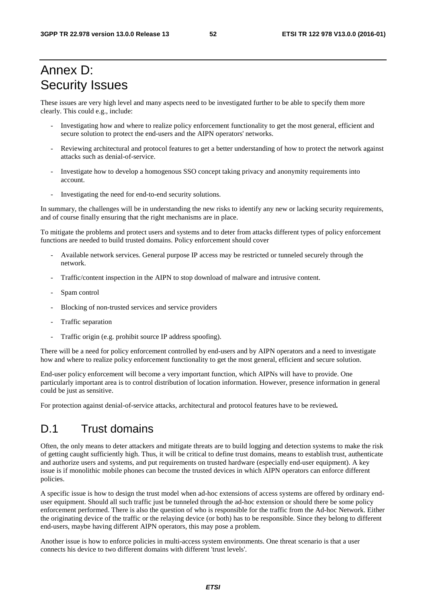## Annex D: Security Issues

These issues are very high level and many aspects need to be investigated further to be able to specify them more clearly. This could e.g., include:

- Investigating how and where to realize policy enforcement functionality to get the most general, efficient and secure solution to protect the end-users and the AIPN operators' networks.
- Reviewing architectural and protocol features to get a better understanding of how to protect the network against attacks such as denial-of-service.
- Investigate how to develop a homogenous SSO concept taking privacy and anonymity requirements into account.
- Investigating the need for end-to-end security solutions.

In summary, the challenges will be in understanding the new risks to identify any new or lacking security requirements, and of course finally ensuring that the right mechanisms are in place.

To mitigate the problems and protect users and systems and to deter from attacks different types of policy enforcement functions are needed to build trusted domains. Policy enforcement should cover

- Available network services. General purpose IP access may be restricted or tunneled securely through the network.
- Traffic/content inspection in the AIPN to stop download of malware and intrusive content.
- Spam control
- Blocking of non-trusted services and service providers
- Traffic separation
- Traffic origin (e.g. prohibit source IP address spoofing).

There will be a need for policy enforcement controlled by end-users and by AIPN operators and a need to investigate how and where to realize policy enforcement functionality to get the most general, efficient and secure solution.

End-user policy enforcement will become a very important function, which AIPNs will have to provide. One particularly important area is to control distribution of location information. However, presence information in general could be just as sensitive.

For protection against denial-of-service attacks, architectural and protocol features have to be reviewed**.** 

### D.1 Trust domains

Often, the only means to deter attackers and mitigate threats are to build logging and detection systems to make the risk of getting caught sufficiently high. Thus, it will be critical to define trust domains, means to establish trust, authenticate and authorize users and systems, and put requirements on trusted hardware (especially end-user equipment). A key issue is if monolithic mobile phones can become the trusted devices in which AIPN operators can enforce different policies.

A specific issue is how to design the trust model when ad-hoc extensions of access systems are offered by ordinary enduser equipment. Should all such traffic just be tunneled through the ad-hoc extension or should there be some policy enforcement performed. There is also the question of who is responsible for the traffic from the Ad-hoc Network. Either the originating device of the traffic or the relaying device (or both) has to be responsible. Since they belong to different end-users, maybe having different AIPN operators, this may pose a problem.

Another issue is how to enforce policies in multi-access system environments. One threat scenario is that a user connects his device to two different domains with different 'trust levels'.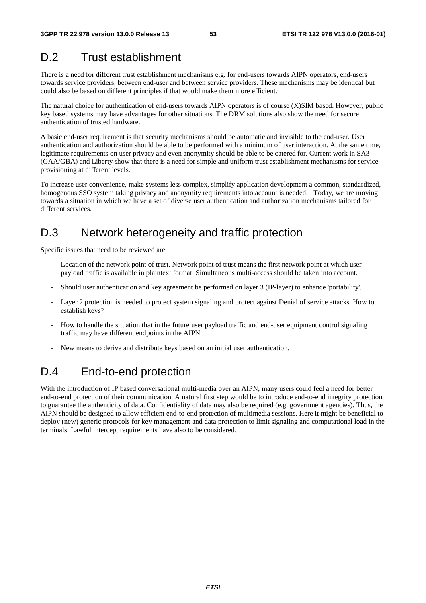## D.2 Trust establishment

There is a need for different trust establishment mechanisms e.g. for end-users towards AIPN operators, end-users towards service providers, between end-user and between service providers. These mechanisms may be identical but could also be based on different principles if that would make them more efficient.

The natural choice for authentication of end-users towards AIPN operators is of course (X)SIM based. However, public key based systems may have advantages for other situations. The DRM solutions also show the need for secure authentication of trusted hardware.

A basic end-user requirement is that security mechanisms should be automatic and invisible to the end-user. User authentication and authorization should be able to be performed with a minimum of user interaction. At the same time, legitimate requirements on user privacy and even anonymity should be able to be catered for. Current work in SA3 (GAA/GBA) and Liberty show that there is a need for simple and uniform trust establishment mechanisms for service provisioning at different levels.

To increase user convenience, make systems less complex, simplify application development a common, standardized, homogenous SSO system taking privacy and anonymity requirements into account is needed. Today, we are moving towards a situation in which we have a set of diverse user authentication and authorization mechanisms tailored for different services.

## D.3 Network heterogeneity and traffic protection

Specific issues that need to be reviewed are

- Location of the network point of trust. Network point of trust means the first network point at which user payload traffic is available in plaintext format. Simultaneous multi-access should be taken into account.
- Should user authentication and key agreement be performed on layer 3 (IP-layer) to enhance 'portability'.
- Layer 2 protection is needed to protect system signaling and protect against Denial of service attacks. How to establish keys?
- How to handle the situation that in the future user payload traffic and end-user equipment control signaling traffic may have different endpoints in the AIPN
- New means to derive and distribute keys based on an initial user authentication.

## D.4 End-to-end protection

With the introduction of IP based conversational multi-media over an AIPN, many users could feel a need for better end-to-end protection of their communication. A natural first step would be to introduce end-to-end integrity protection to guarantee the authenticity of data. Confidentiality of data may also be required (e.g. government agencies). Thus, the AIPN should be designed to allow efficient end-to-end protection of multimedia sessions. Here it might be beneficial to deploy (new) generic protocols for key management and data protection to limit signaling and computational load in the terminals. Lawful intercept requirements have also to be considered.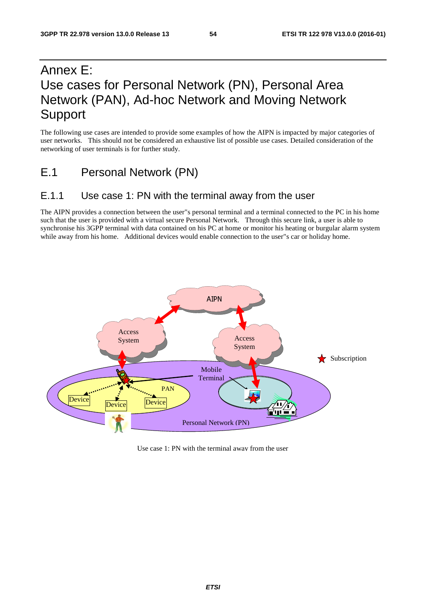## Annex E: Use cases for Personal Network (PN), Personal Area Network (PAN), Ad-hoc Network and Moving Network Support

The following use cases are intended to provide some examples of how the AIPN is impacted by major categories of user networks. This should not be considered an exhaustive list of possible use cases. Detailed consideration of the networking of user terminals is for further study.

E.1 Personal Network (PN)

### E.1.1 Use case 1: PN with the terminal away from the user

The AIPN provides a connection between the user"s personal terminal and a terminal connected to the PC in his home such that the user is provided with a virtual secure Personal Network. Through this secure link, a user is able to synchronise his 3GPP terminal with data contained on his PC at home or monitor his heating or burgular alarm system while away from his home. Additional devices would enable connection to the user"s car or holiday home.



Use case 1: PN with the terminal away from the user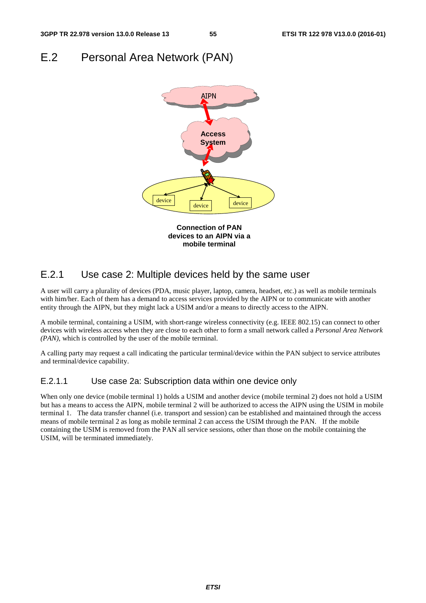## E.2 Personal Area Network (PAN)



### E.2.1 Use case 2: Multiple devices held by the same user

A user will carry a plurality of devices (PDA, music player, laptop, camera, headset, etc.) as well as mobile terminals with him/her. Each of them has a demand to access services provided by the AIPN or to communicate with another entity through the AIPN, but they might lack a USIM and/or a means to directly access to the AIPN.

A mobile terminal, containing a USIM, with short-range wireless connectivity (e.g. IEEE 802.15) can connect to other devices with wireless access when they are close to each other to form a small network called a *Personal Area Network (PAN),* which is controlled by the user of the mobile terminal.

A calling party may request a call indicating the particular terminal/device within the PAN subject to service attributes and terminal/device capability.

#### E.2.1.1 Use case 2a: Subscription data within one device only

When only one device (mobile terminal 1) holds a USIM and another device (mobile terminal 2) does not hold a USIM but has a means to access the AIPN, mobile terminal 2 will be authorized to access the AIPN using the USIM in mobile terminal 1. The data transfer channel (i.e. transport and session) can be established and maintained through the access means of mobile terminal 2 as long as mobile terminal 2 can access the USIM through the PAN. If the mobile containing the USIM is removed from the PAN all service sessions, other than those on the mobile containing the USIM, will be terminated immediately.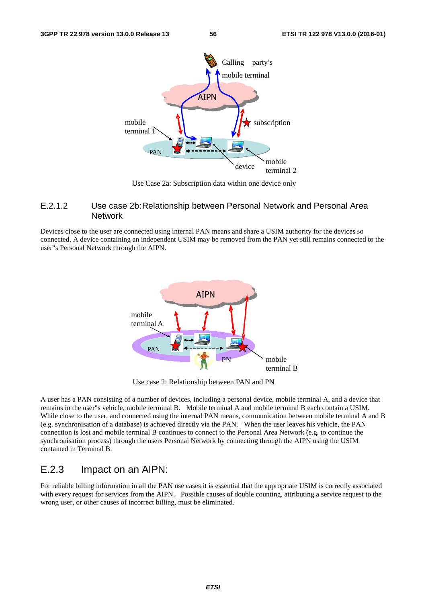

Use Case 2a: Subscription data within one device only

#### E.2.1.2 Use case 2b: Relationship between Personal Network and Personal Area **Network**

Devices close to the user are connected using internal PAN means and share a USIM authority for the devices so connected. A device containing an independent USIM may be removed from the PAN yet still remains connected to the user"s Personal Network through the AIPN.



Use case 2: Relationship between PAN and PN

A user has a PAN consisting of a number of devices, including a personal device, mobile terminal A, and a device that remains in the user"s vehicle, mobile terminal B. Mobile terminal A and mobile terminal B each contain a USIM. While close to the user, and connected using the internal PAN means, communication between mobile terminal A and B (e.g. synchronisation of a database) is achieved directly via the PAN. When the user leaves his vehicle, the PAN connection is lost and mobile terminal B continues to connect to the Personal Area Network (e.g. to continue the synchronisation process) through the users Personal Network by connecting through the AIPN using the USIM contained in Terminal B.

### E.2.3 Impact on an AIPN:

For reliable billing information in all the PAN use cases it is essential that the appropriate USIM is correctly associated with every request for services from the AIPN. Possible causes of double counting, attributing a service request to the wrong user, or other causes of incorrect billing, must be eliminated.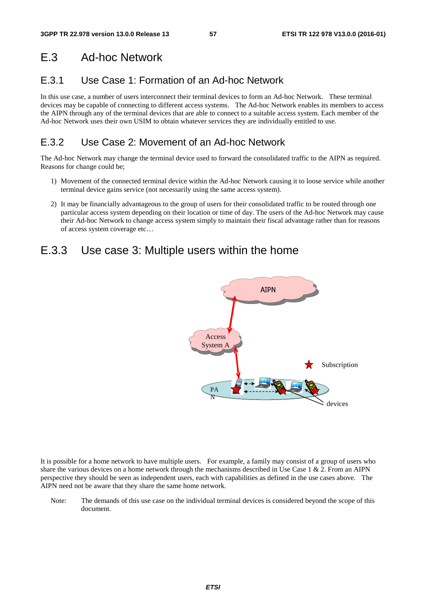## E.3 Ad-hoc Network

## E.3.1 Use Case 1: Formation of an Ad-hoc Network

In this use case, a number of users interconnect their terminal devices to form an Ad-hoc Network. These terminal devices may be capable of connecting to different access systems. The Ad-hoc Network enables its members to access the AIPN through any of the terminal devices that are able to connect to a suitable access system. Each member of the Ad-hoc Network uses their own USIM to obtain whatever services they are individually entitled to use.

## E.3.2 Use Case 2: Movement of an Ad-hoc Network

The Ad-hoc Network may change the terminal device used to forward the consolidated traffic to the AIPN as required. Reasons for change could be;

- 1) Movement of the connected terminal device within the Ad-hoc Network causing it to loose service while another terminal device gains service (not necessarily using the same access system).
- 2) It may be financially advantageous to the group of users for their consolidated traffic to be routed through one particular access system depending on their location or time of day. The users of the Ad-hoc Network may cause their Ad-hoc Network to change access system simply to maintain their fiscal advantage rather than for reasons of access system coverage etc…

## E.3.3 Use case 3: Multiple users within the home



It is possible for a home network to have multiple users. For example, a family may consist of a group of users who share the various devices on a home network through the mechanisms described in Use Case  $1 \& 2$ . From an AIPN perspective they should be seen as independent users, each with capabilities as defined in the use cases above. The AIPN need not be aware that they share the same home network.

Note: The demands of this use case on the individual terminal devices is considered beyond the scope of this document.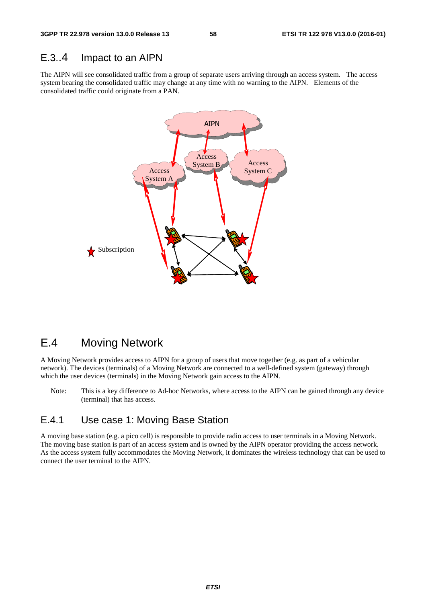### E.3..4 Impact to an AIPN

The AIPN will see consolidated traffic from a group of separate users arriving through an access system. The access system bearing the consolidated traffic may change at any time with no warning to the AIPN. Elements of the consolidated traffic could originate from a PAN.



## E.4 Moving Network

A Moving Network provides access to AIPN for a group of users that move together (e.g. as part of a vehicular network). The devices (terminals) of a Moving Network are connected to a well-defined system (gateway) through which the user devices (terminals) in the Moving Network gain access to the AIPN.

Note: This is a key difference to Ad-hoc Networks, where access to the AIPN can be gained through any device (terminal) that has access.

### E.4.1 Use case 1: Moving Base Station

A moving base station (e.g. a pico cell) is responsible to provide radio access to user terminals in a Moving Network. The moving base station is part of an access system and is owned by the AIPN operator providing the access network. As the access system fully accommodates the Moving Network, it dominates the wireless technology that can be used to connect the user terminal to the AIPN.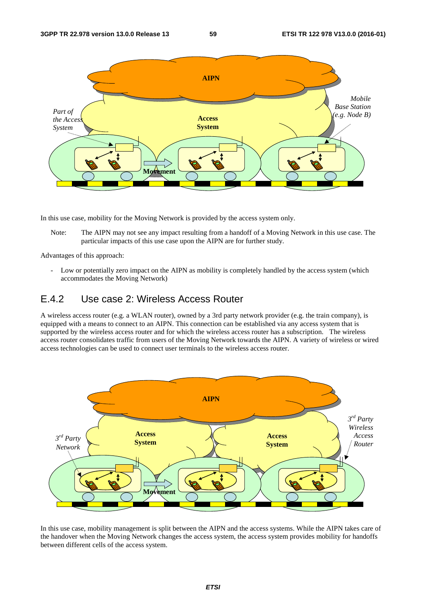

In this use case, mobility for the Moving Network is provided by the access system only.

Note: The AIPN may not see any impact resulting from a handoff of a Moving Network in this use case. The particular impacts of this use case upon the AIPN are for further study.

Advantages of this approach:

- Low or potentially zero impact on the AIPN as mobility is completely handled by the access system (which accommodates the Moving Network)

### E.4.2 Use case 2: Wireless Access Router

A wireless access router (e.g. a WLAN router), owned by a 3rd party network provider (e.g. the train company), is equipped with a means to connect to an AIPN. This connection can be established via any access system that is supported by the wireless access router and for which the wireless access router has a subscription. The wireless access router consolidates traffic from users of the Moving Network towards the AIPN. A variety of wireless or wired access technologies can be used to connect user terminals to the wireless access router.



In this use case, mobility management is split between the AIPN and the access systems. While the AIPN takes care of the handover when the Moving Network changes the access system, the access system provides mobility for handoffs between different cells of the access system.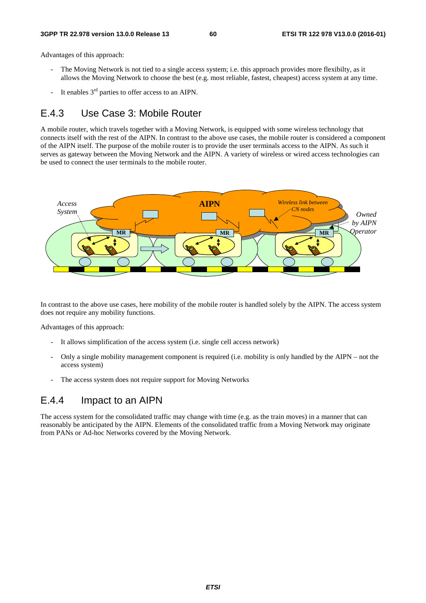Advantages of this approach:

- The Moving Network is not tied to a single access system; i.e. this approach provides more flexibilty, as it allows the Moving Network to choose the best (e.g. most reliable, fastest, cheapest) access system at any time.
- It enables  $3<sup>rd</sup>$  parties to offer access to an AIPN.

### E.4.3 Use Case 3: Mobile Router

A mobile router, which travels together with a Moving Network, is equipped with some wireless technology that connects itself with the rest of the AIPN. In contrast to the above use cases, the mobile router is considered a component of the AIPN itself. The purpose of the mobile router is to provide the user terminals access to the AIPN. As such it serves as gateway between the Moving Network and the AIPN. A variety of wireless or wired access technologies can be used to connect the user terminals to the mobile router.



In contrast to the above use cases, here mobility of the mobile router is handled solely by the AIPN. The access system does not require any mobility functions.

Advantages of this approach:

- It allows simplification of the access system (i.e. single cell access network)
- Only a single mobility management component is required (i.e. mobility is only handled by the AIPN not the access system)
- The access system does not require support for Moving Networks

### E.4.4 Impact to an AIPN

The access system for the consolidated traffic may change with time (e.g. as the train moves) in a manner that can reasonably be anticipated by the AIPN. Elements of the consolidated traffic from a Moving Network may originate from PANs or Ad-hoc Networks covered by the Moving Network.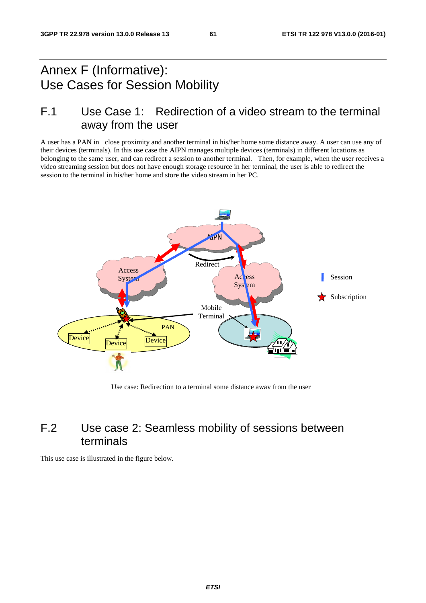## Annex F (Informative): Use Cases for Session Mobility

## F.1 Use Case 1: Redirection of a video stream to the terminal away from the user

A user has a PAN in close proximity and another terminal in his/her home some distance away. A user can use any of their devices (terminals). In this use case the AIPN manages multiple devices (terminals) in different locations as belonging to the same user, and can redirect a session to another terminal. Then, for example, when the user receives a video streaming session but does not have enough storage resource in her terminal, the user is able to redirect the session to the terminal in his/her home and store the video stream in her PC.



Use case: Redirection to a terminal some distance away from the user

## F.2 Use case 2: Seamless mobility of sessions between terminals

This use case is illustrated in the figure below.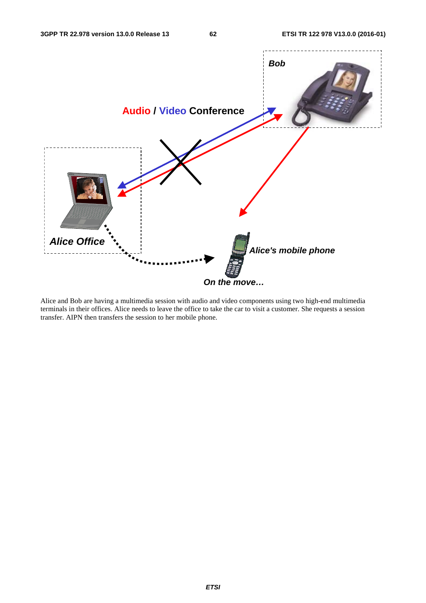

Alice and Bob are having a multimedia session with audio and video components using two high-end multimedia terminals in their offices. Alice needs to leave the office to take the car to visit a customer. She requests a session transfer. AIPN then transfers the session to her mobile phone.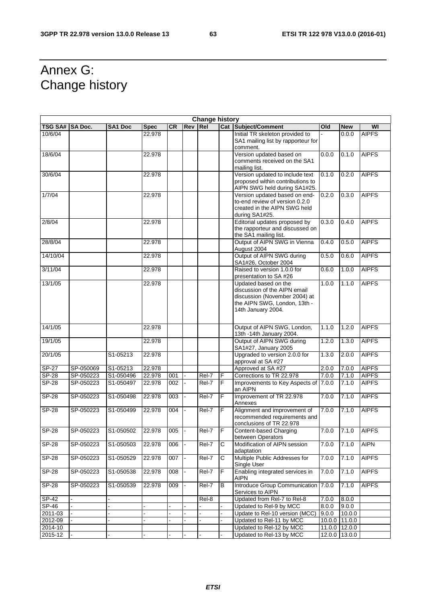## Annex G: Change history

| <b>Change history</b> |                |                         |             |           |            |            |                |                                                                                                                                             |       |               |              |
|-----------------------|----------------|-------------------------|-------------|-----------|------------|------------|----------------|---------------------------------------------------------------------------------------------------------------------------------------------|-------|---------------|--------------|
| <b>TSG SA#</b>        | <b>SA Doc.</b> | <b>SA1 Doc</b>          | <b>Spec</b> | <b>CR</b> | <b>Rev</b> | <b>Rel</b> |                | <b>Cat Subject/Comment</b>                                                                                                                  | Old   | <b>New</b>    | WI           |
| 10/6/04               |                |                         | 22.978      |           |            |            |                | Initial TR skeleton provided to<br>SA1 mailing list by rapporteur for<br>comment.                                                           |       | 0.0.0         | <b>AIPFS</b> |
| 18/6/04               |                |                         | 22.978      |           |            |            |                | Version updated based on<br>comments received on the SA1<br>mailing list.                                                                   | 0.1.0 | <b>AIPFS</b>  |              |
| 30/6/04               |                |                         | 22.978      |           |            |            |                | Version updated to include text<br>proposed within contributions to<br>AIPN SWG held during SA1#25.                                         | 0.1.0 | 0.2.0         | <b>AIPFS</b> |
| 1/7/04                |                |                         | 22.978      |           |            |            |                | Version updated based on end-<br>to-end review of version 0.2.0<br>created in the AIPN SWG held<br>during SA1#25.                           | 0.2.0 | 0.3.0         | <b>AIPFS</b> |
| 2/8/04                |                |                         | 22.978      |           |            |            |                | Editorial updates proposed by<br>the rapporteur and discussed on<br>the SA1 mailing list.                                                   | 0.3.0 | 0.4.0         | <b>AIPFS</b> |
| 28/8/04               |                |                         | 22.978      |           |            |            |                | Output of AIPN SWG in Vienna<br>August 2004                                                                                                 | 0.4.0 | 0.5.0         | <b>AIPFS</b> |
| 14/10/04              |                |                         | 22.978      |           |            |            |                | Output of AIPN SWG during<br>SA1#26, October 2004                                                                                           | 0.5.0 | 0.6.0         | <b>AIPFS</b> |
| 3/11/04               |                |                         | 22.978      |           |            |            |                | Raised to version 1.0.0 for<br>presentation to SA #26                                                                                       | 0.6.0 | 1.0.0         | <b>AIPFS</b> |
| 13/1/05               |                |                         | 22.978      |           |            |            |                | Updated based on the<br>discussion of the AIPN email<br>discussion (November 2004) at<br>the AIPN SWG, London, 13th -<br>14th January 2004. | 1.0.0 | 1.1.0         | <b>AIPFS</b> |
| 14/1/05               |                |                         | 22.978      |           |            |            |                | Output of AIPN SWG, London,<br>13th -14th January 2004.                                                                                     | 1.1.0 | 1.2.0         | <b>AIPFS</b> |
| 19/1/05               |                |                         | 22.978      |           |            |            |                | Output of AIPN SWG during<br>SA1#27, January 2005                                                                                           | 1.2.0 | 1.3.0         | <b>AIPFS</b> |
| 20/1/05               |                | S1-05213                | 22.978      |           |            |            |                | Upgraded to version 2.0.0 for<br>approval at SA #27                                                                                         | 1.3.0 | 2.0.0         | <b>AIPFS</b> |
| $SP-27$               | SP-050069      | S1-05213                | 22.978      |           |            |            |                | Approved at SA #27                                                                                                                          | 2.0.0 | 7.0.0         | <b>AIPFS</b> |
| $S P - 28$            | SP-050223      | S1-050496               | 22.978      | 001       |            | Rel-7      | F              | Corrections to TR 22.978                                                                                                                    | 7.0.0 | 7.1.0         | <b>AIPFS</b> |
| <b>SP-28</b>          | SP-050223      | S1-050497               | 22.978      | 002       |            | Rel-7      | $\overline{F}$ | Improvements to Key Aspects of<br>an AIPN                                                                                                   | 7.0.0 | 7.1.0         | <b>AIPFS</b> |
| $S P - 28$            | SP-050223      | S1-050498               | 22.978      | 003       |            | Rel-7      | F              | Improvement of TR 22.978<br>Annexes                                                                                                         | 7.0.0 | 7.1.0         | <b>AIPFS</b> |
| <b>SP-28</b>          | SP-050223      | S1-050499               | 22.978      | 004       |            | Rel-7      | F              | Alignment and improvement of<br>recommended requirements and<br>conclusions of TR 22.978                                                    | 7.0.0 | 7.1.0         | <b>AIPFS</b> |
| <b>SP-28</b>          | SP-050223      | S1-050502               | 22.978      | 005       |            | Rel-7      | F              | Content-based Charging<br>between Operators                                                                                                 | 7.0.0 | 7.1.0         | <b>AIPFS</b> |
| $SP-28$               | SP-050223      | S1-050503               | 22.978      | 006       |            | Rel-7      | $\mathsf{C}$   | Modification of AIPN session<br>adaptation                                                                                                  | 7.0.0 | 7.1.0         | <b>AIPN</b>  |
| <b>SP-28</b>          | SP-050223      | S1-050529               | 22.978      | 007       |            | Rel-7      | С              | Multiple Public Addresses for<br>Single User                                                                                                | 7.0.0 | 7.1.0         | <b>AIPFS</b> |
| $SP-28$               | SP-050223      | S1-050538               | 22.978      | 008       |            | Rel-7      | F              | Enabling integrated services in<br><b>AIPN</b>                                                                                              | 7.0.0 | 7.1.0         | <b>AIPFS</b> |
| SP-28                 | SP-050223      | $\overline{S1}$ -050539 | 22.978      | 009       |            | Rel-7      | B              | Introduce Group Communication<br>Services to AIPN                                                                                           | 7.0.0 | 7.1.0         | <b>AIPFS</b> |
| SP-42                 |                |                         |             |           |            | Rel-8      |                | Updated from Rel-7 to Rel-8                                                                                                                 | 7.0.0 | 8.0.0         |              |
| SP-46                 |                |                         |             |           |            |            |                | Updated to Rel-9 by MCC                                                                                                                     | 8.0.0 | 9.0.0         |              |
| 2011-03               |                |                         |             |           |            |            |                | Update to Rel-10 version (MCC)                                                                                                              | 9.0.0 | 10.0.0        |              |
| 2012-09               |                |                         |             |           |            |            |                | Updated to Rel-11 by MCC                                                                                                                    |       | 10.0.0 11.0.0 |              |
| 2014-10               |                |                         |             |           |            |            |                | Updated to Rel-12 by MCC                                                                                                                    |       | 11.0.0 12.0.0 |              |
| 2015-12               |                |                         |             |           |            |            |                | Updated to Rel-13 by MCC                                                                                                                    |       | 12.0.0 13.0.0 |              |